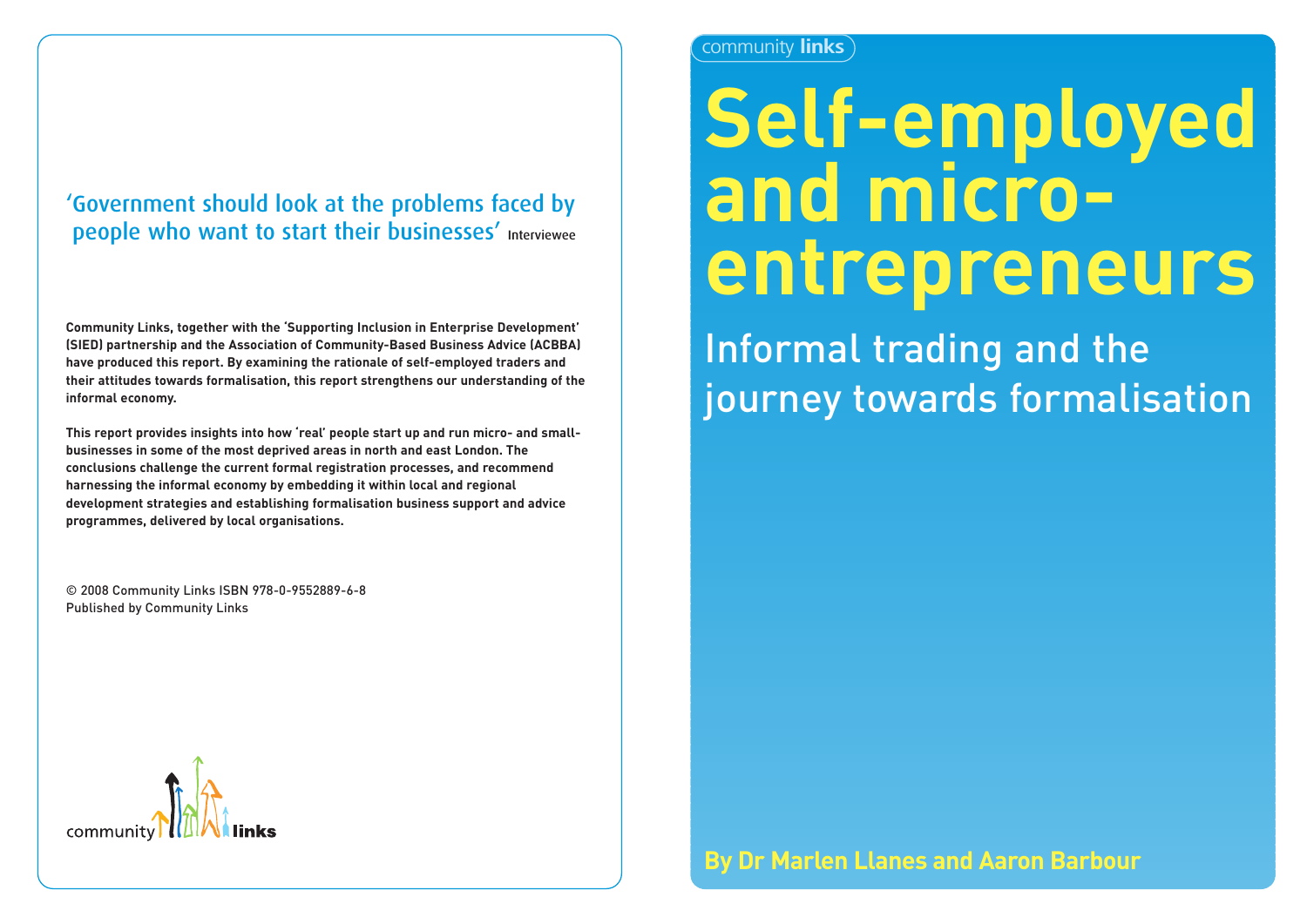# **Self-employed and microentrepreneurs**

Informal trading and the journey towards formalisation

**By Dr Marlen Llanes and Aaron Barbour**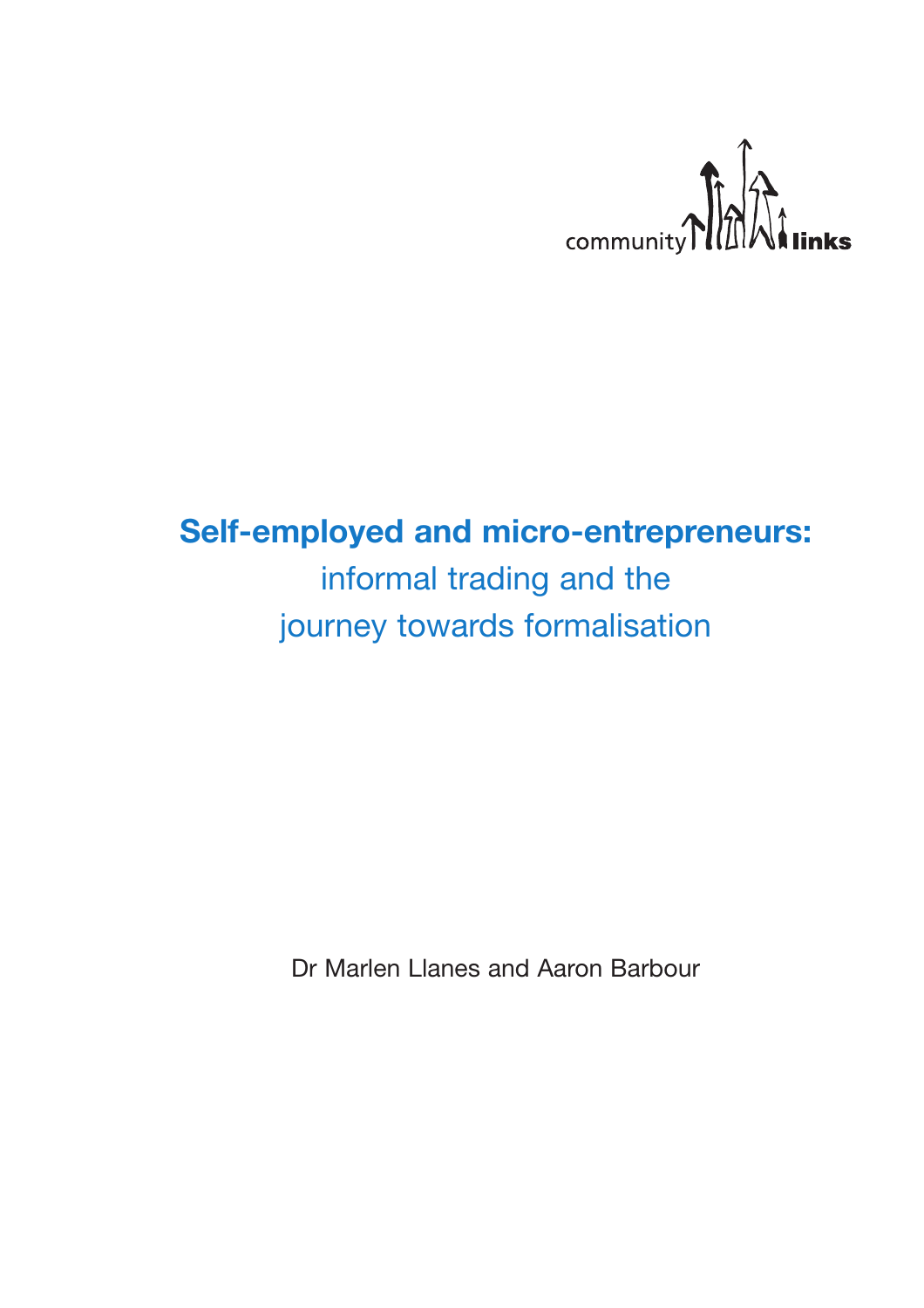

# **Self-employed and micro-entrepreneurs:** informal trading and the journey towards formalisation

Dr Marlen Llanes and Aaron Barbour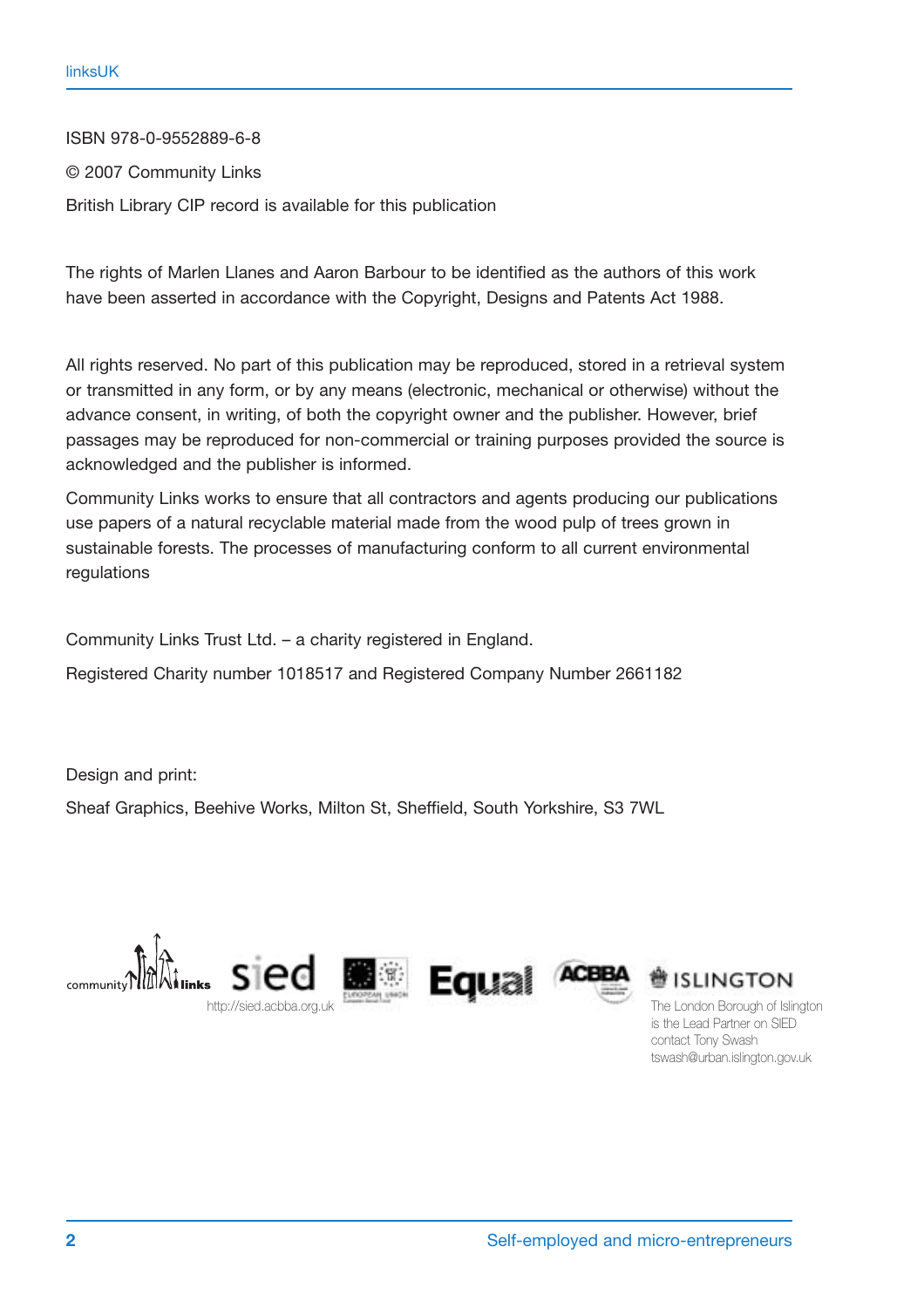ISBN 978-0-9552889-6-8

© 2007 Community Links

British Library CIP record is available for this publication

The rights of Marlen Llanes and Aaron Barbour to be identified as the authors of this work have been asserted in accordance with the Copyright, Designs and Patents Act 1988.

All rights reserved. No part of this publication may be reproduced, stored in a retrieval system or transmitted in any form, or by any means (electronic, mechanical or otherwise) without the advance consent, in writing, of both the copyright owner and the publisher. However, brief passages may be reproduced for non-commercial or training purposes provided the source is acknowledged and the publisher is informed.

Community Links works to ensure that all contractors and agents producing our publications use papers of a natural recyclable material made from the wood pulp of trees grown in sustainable forests. The processes of manufacturing conform to all current environmental regulations

Community Links Trust Ltd. – a charity registered in England.

Registered Charity number 1018517 and Registered Company Number 2661182

Design and print:

Sheaf Graphics, Beehive Works, Milton St, Sheffield, South Yorkshire, S3 7WL





**ISLINGTON** 

is the Lead Partner on SIED contact Tony Swash tswash@urban.islington.gov.uk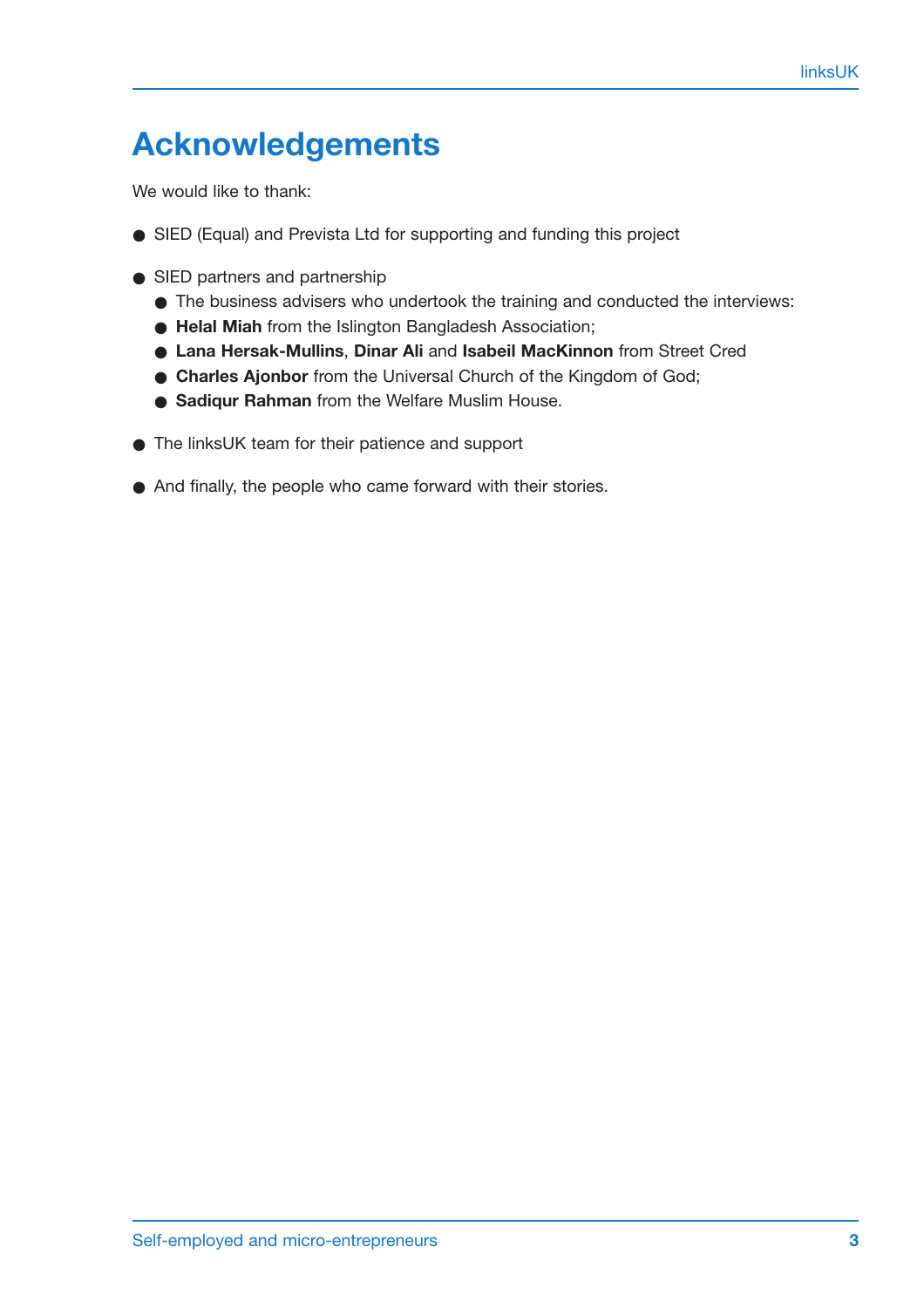# **Acknowledgements**

We would like to thank:

- SIED (Equal) and Prevista Ltd for supporting and funding this project
- SIED partners and partnership
	- The business advisers who undertook the training and conducted the interviews:
	- **Helal Miah** from the Islington Bangladesh Association;
	- **Lana Hersak-Mullins**, **Dinar Ali** and **Isabeil MacKinnon** from Street Cred
	- **Charles Ajonbor** from the Universal Church of the Kingdom of God;
	- **Sadiqur Rahman** from the Welfare Muslim House.
- The linksUK team for their patience and support
- And finally, the people who came forward with their stories.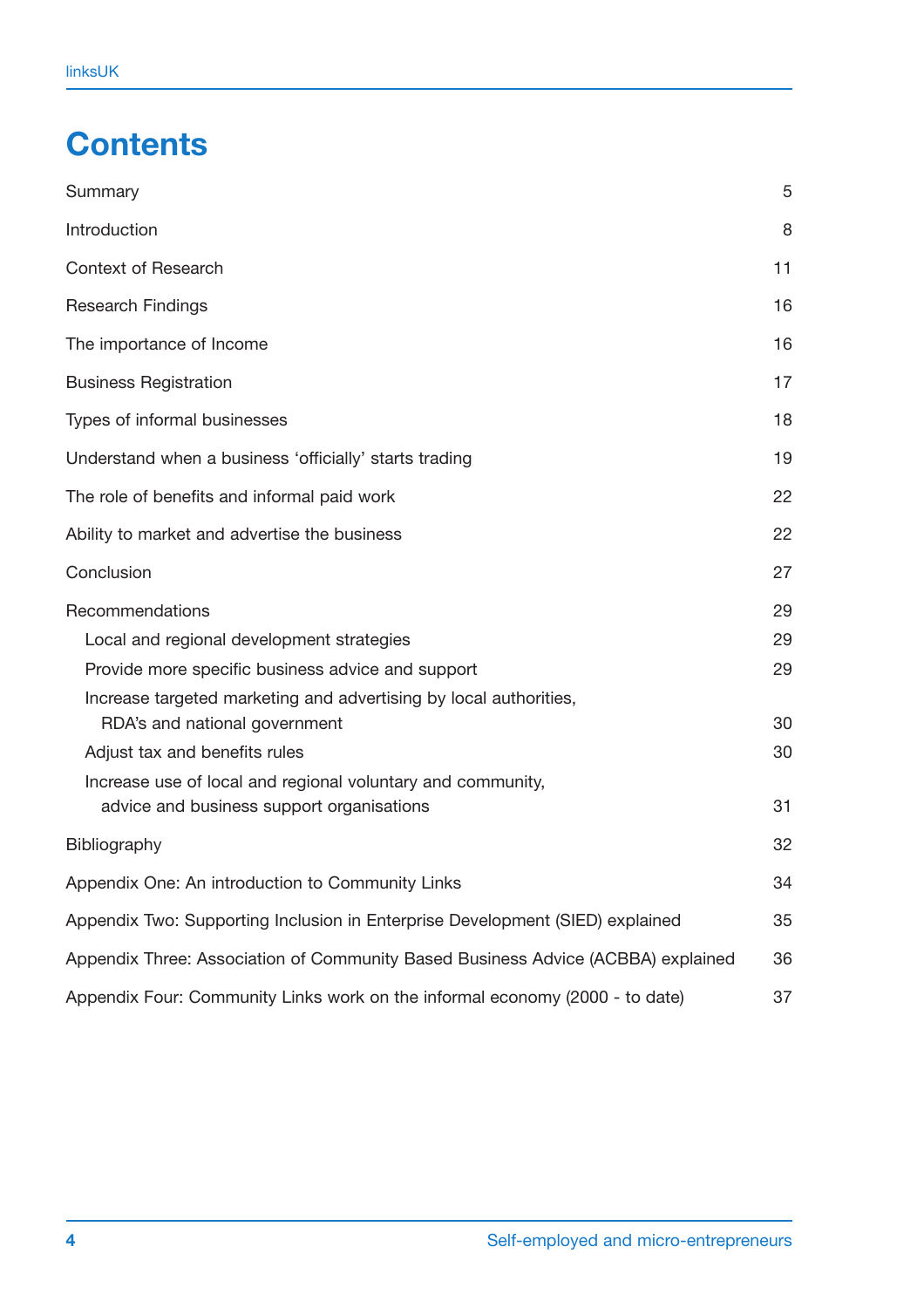# **Contents**

| Summary                                                                                            | 5  |
|----------------------------------------------------------------------------------------------------|----|
| Introduction                                                                                       | 8  |
| <b>Context of Research</b>                                                                         | 11 |
| <b>Research Findings</b>                                                                           | 16 |
| The importance of Income                                                                           | 16 |
| <b>Business Registration</b>                                                                       | 17 |
| Types of informal businesses                                                                       | 18 |
| Understand when a business 'officially' starts trading                                             | 19 |
| The role of benefits and informal paid work                                                        | 22 |
| Ability to market and advertise the business                                                       | 22 |
| Conclusion                                                                                         | 27 |
| Recommendations                                                                                    | 29 |
| Local and regional development strategies                                                          | 29 |
| Provide more specific business advice and support                                                  | 29 |
| Increase targeted marketing and advertising by local authorities,<br>RDA's and national government | 30 |
| Adjust tax and benefits rules                                                                      | 30 |
| Increase use of local and regional voluntary and community,                                        |    |
| advice and business support organisations                                                          | 31 |
| Bibliography                                                                                       | 32 |
| Appendix One: An introduction to Community Links                                                   | 34 |
| Appendix Two: Supporting Inclusion in Enterprise Development (SIED) explained                      | 35 |
| Appendix Three: Association of Community Based Business Advice (ACBBA) explained                   | 36 |
| Appendix Four: Community Links work on the informal economy (2000 - to date)                       | 37 |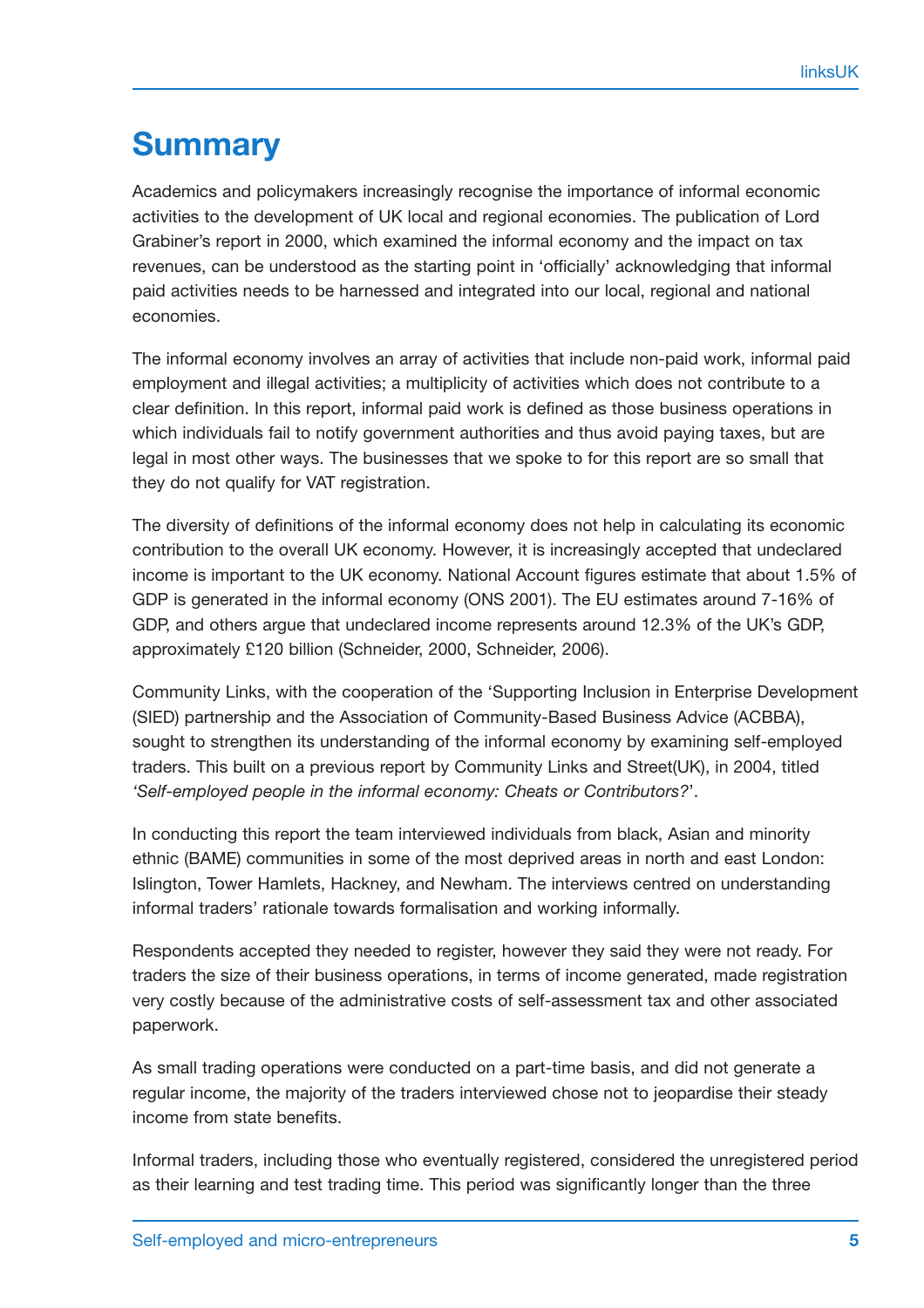# **Summary**

Academics and policymakers increasingly recognise the importance of informal economic activities to the development of UK local and regional economies. The publication of Lord Grabiner's report in 2000, which examined the informal economy and the impact on tax revenues, can be understood as the starting point in 'officially' acknowledging that informal paid activities needs to be harnessed and integrated into our local, regional and national economies.

The informal economy involves an array of activities that include non-paid work, informal paid employment and illegal activities; a multiplicity of activities which does not contribute to a clear definition. In this report, informal paid work is defined as those business operations in which individuals fail to notify government authorities and thus avoid paying taxes, but are legal in most other ways. The businesses that we spoke to for this report are so small that they do not qualify for VAT registration.

The diversity of definitions of the informal economy does not help in calculating its economic contribution to the overall UK economy. However, it is increasingly accepted that undeclared income is important to the UK economy. National Account figures estimate that about 1.5% of GDP is generated in the informal economy (ONS 2001). The EU estimates around 7-16% of GDP, and others argue that undeclared income represents around 12.3% of the UK's GDP, approximately £120 billion (Schneider, 2000, Schneider, 2006).

Community Links, with the cooperation of the 'Supporting Inclusion in Enterprise Development (SIED) partnership and the Association of Community-Based Business Advice (ACBBA), sought to strengthen its understanding of the informal economy by examining self-employed traders. This built on a previous report by Community Links and Street(UK), in 2004, titled *'Self-employed people in the informal economy: Cheats or Contributors?*'.

In conducting this report the team interviewed individuals from black, Asian and minority ethnic (BAME) communities in some of the most deprived areas in north and east London: Islington, Tower Hamlets, Hackney, and Newham. The interviews centred on understanding informal traders' rationale towards formalisation and working informally.

Respondents accepted they needed to register, however they said they were not ready. For traders the size of their business operations, in terms of income generated, made registration very costly because of the administrative costs of self-assessment tax and other associated paperwork.

As small trading operations were conducted on a part-time basis, and did not generate a regular income, the majority of the traders interviewed chose not to jeopardise their steady income from state benefits.

Informal traders, including those who eventually registered, considered the unregistered period as their learning and test trading time. This period was significantly longer than the three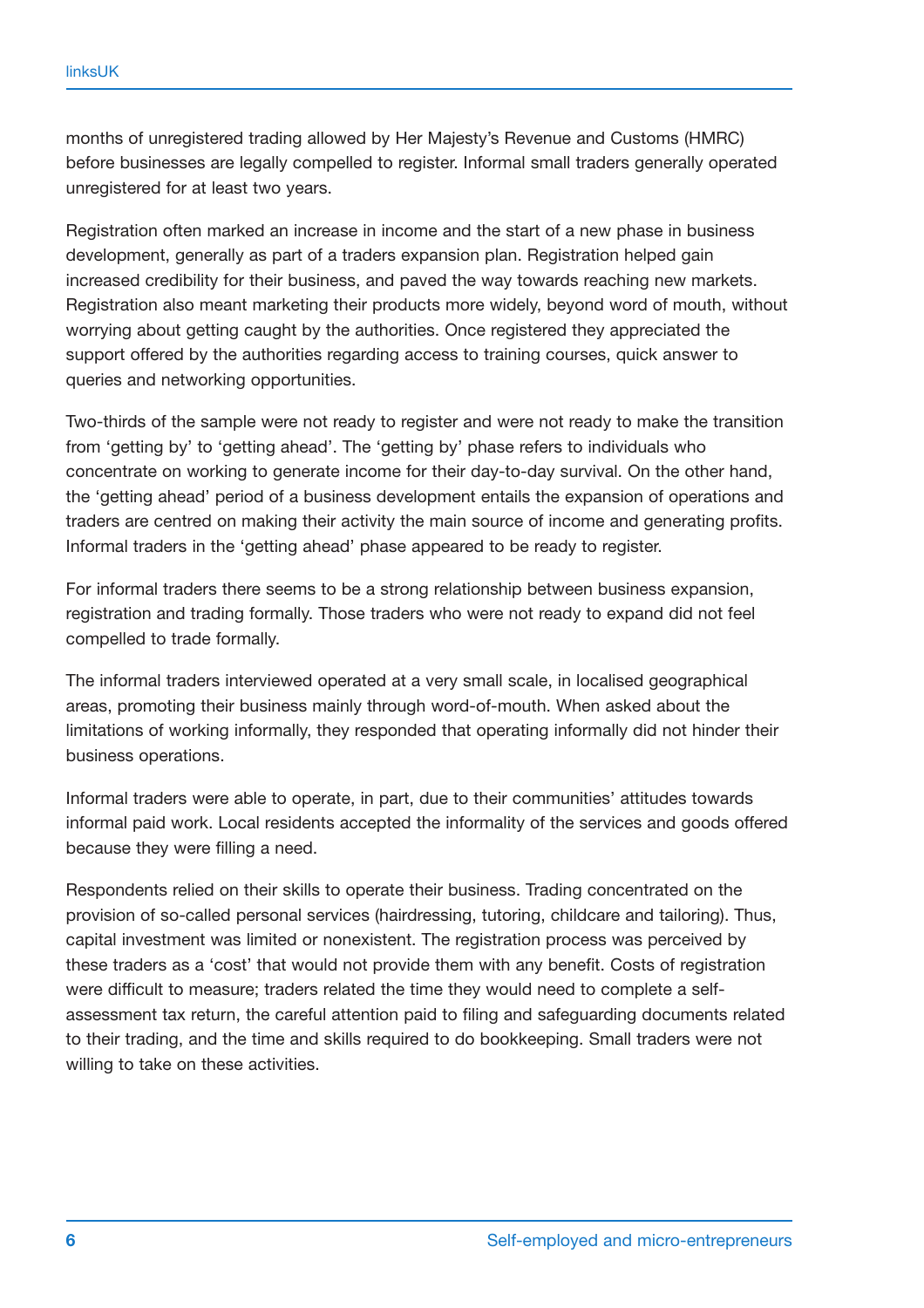months of unregistered trading allowed by Her Majesty's Revenue and Customs (HMRC) before businesses are legally compelled to register. Informal small traders generally operated unregistered for at least two years.

Registration often marked an increase in income and the start of a new phase in business development, generally as part of a traders expansion plan. Registration helped gain increased credibility for their business, and paved the way towards reaching new markets. Registration also meant marketing their products more widely, beyond word of mouth, without worrying about getting caught by the authorities. Once registered they appreciated the support offered by the authorities regarding access to training courses, quick answer to queries and networking opportunities.

Two-thirds of the sample were not ready to register and were not ready to make the transition from 'getting by' to 'getting ahead'. The 'getting by' phase refers to individuals who concentrate on working to generate income for their day-to-day survival. On the other hand, the 'getting ahead' period of a business development entails the expansion of operations and traders are centred on making their activity the main source of income and generating profits. Informal traders in the 'getting ahead' phase appeared to be ready to register.

For informal traders there seems to be a strong relationship between business expansion, registration and trading formally. Those traders who were not ready to expand did not feel compelled to trade formally.

The informal traders interviewed operated at a very small scale, in localised geographical areas, promoting their business mainly through word-of-mouth. When asked about the limitations of working informally, they responded that operating informally did not hinder their business operations.

Informal traders were able to operate, in part, due to their communities' attitudes towards informal paid work. Local residents accepted the informality of the services and goods offered because they were filling a need.

Respondents relied on their skills to operate their business. Trading concentrated on the provision of so-called personal services (hairdressing, tutoring, childcare and tailoring). Thus, capital investment was limited or nonexistent. The registration process was perceived by these traders as a 'cost' that would not provide them with any benefit. Costs of registration were difficult to measure; traders related the time they would need to complete a selfassessment tax return, the careful attention paid to filing and safeguarding documents related to their trading, and the time and skills required to do bookkeeping. Small traders were not willing to take on these activities.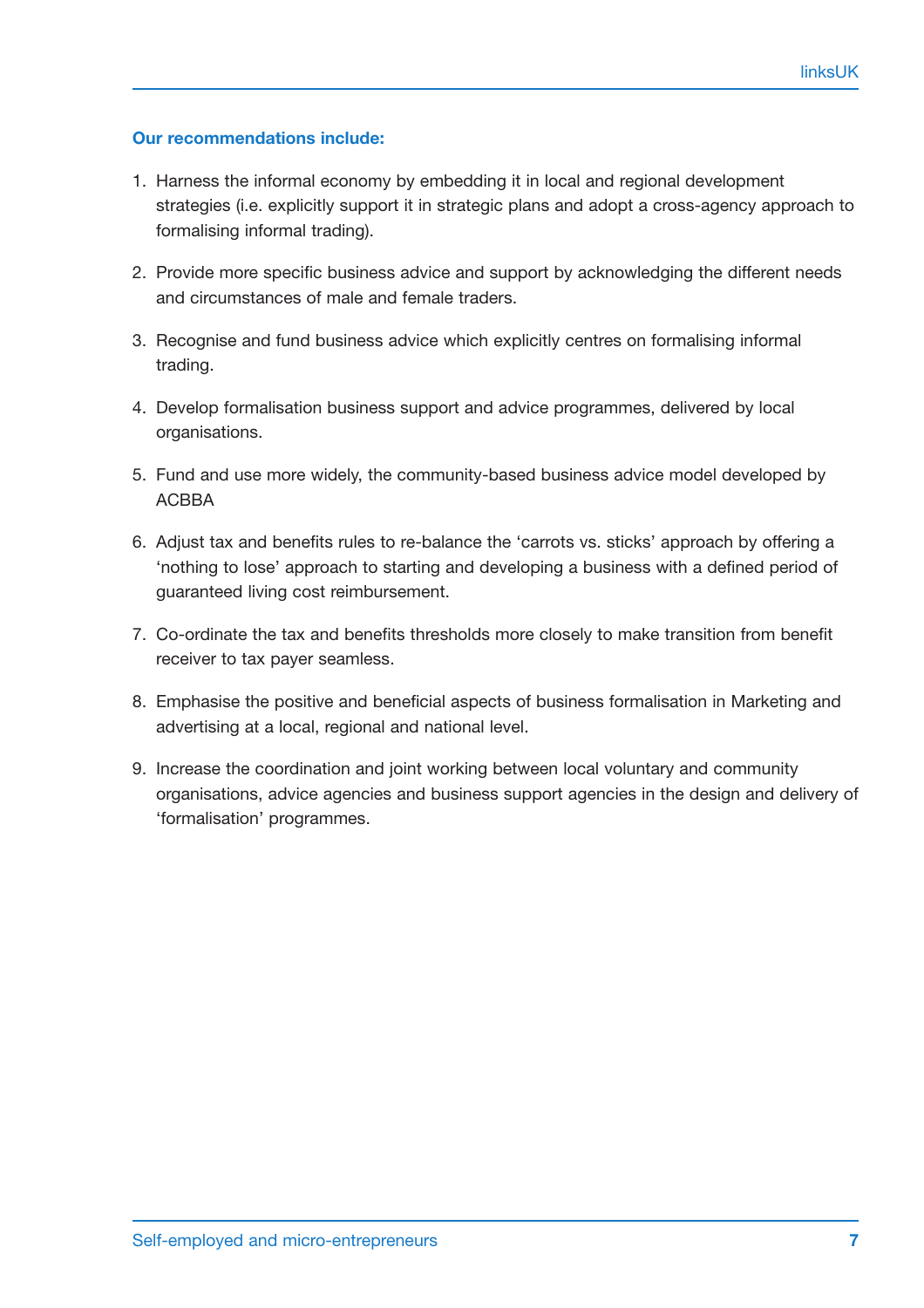#### **Our recommendations include:**

- 1. Harness the informal economy by embedding it in local and regional development strategies (i.e. explicitly support it in strategic plans and adopt a cross-agency approach to formalising informal trading).
- 2. Provide more specific business advice and support by acknowledging the different needs and circumstances of male and female traders.
- 3. Recognise and fund business advice which explicitly centres on formalising informal trading.
- 4. Develop formalisation business support and advice programmes, delivered by local organisations.
- 5. Fund and use more widely, the community-based business advice model developed by ACBBA
- 6. Adjust tax and benefits rules to re-balance the 'carrots vs. sticks' approach by offering a 'nothing to lose' approach to starting and developing a business with a defined period of guaranteed living cost reimbursement.
- 7. Co-ordinate the tax and benefits thresholds more closely to make transition from benefit receiver to tax payer seamless.
- 8. Emphasise the positive and beneficial aspects of business formalisation in Marketing and advertising at a local, regional and national level.
- 9. Increase the coordination and joint working between local voluntary and community organisations, advice agencies and business support agencies in the design and delivery of 'formalisation' programmes.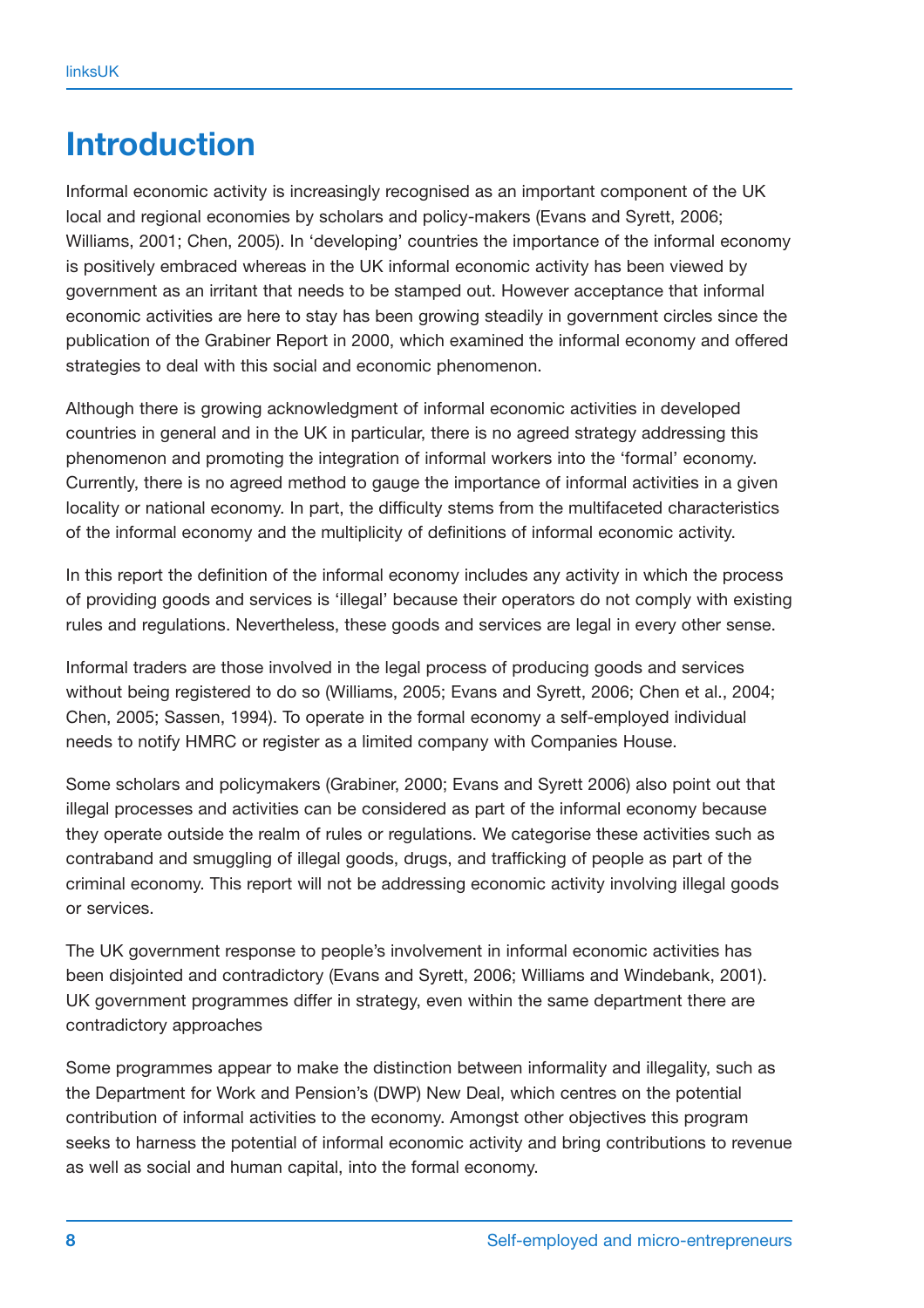## **Introduction**

Informal economic activity is increasingly recognised as an important component of the UK local and regional economies by scholars and policy-makers (Evans and Syrett, 2006; Williams, 2001; Chen, 2005). In 'developing' countries the importance of the informal economy is positively embraced whereas in the UK informal economic activity has been viewed by government as an irritant that needs to be stamped out. However acceptance that informal economic activities are here to stay has been growing steadily in government circles since the publication of the Grabiner Report in 2000, which examined the informal economy and offered strategies to deal with this social and economic phenomenon.

Although there is growing acknowledgment of informal economic activities in developed countries in general and in the UK in particular, there is no agreed strategy addressing this phenomenon and promoting the integration of informal workers into the 'formal' economy. Currently, there is no agreed method to gauge the importance of informal activities in a given locality or national economy. In part, the difficulty stems from the multifaceted characteristics of the informal economy and the multiplicity of definitions of informal economic activity.

In this report the definition of the informal economy includes any activity in which the process of providing goods and services is 'illegal' because their operators do not comply with existing rules and regulations. Nevertheless, these goods and services are legal in every other sense.

Informal traders are those involved in the legal process of producing goods and services without being registered to do so (Williams, 2005; Evans and Syrett, 2006; Chen et al., 2004; Chen, 2005; Sassen, 1994). To operate in the formal economy a self-employed individual needs to notify HMRC or register as a limited company with Companies House.

Some scholars and policymakers (Grabiner, 2000; Evans and Syrett 2006) also point out that illegal processes and activities can be considered as part of the informal economy because they operate outside the realm of rules or regulations. We categorise these activities such as contraband and smuggling of illegal goods, drugs, and trafficking of people as part of the criminal economy. This report will not be addressing economic activity involving illegal goods or services.

The UK government response to people's involvement in informal economic activities has been disjointed and contradictory (Evans and Syrett, 2006; Williams and Windebank, 2001). UK government programmes differ in strategy, even within the same department there are contradictory approaches

Some programmes appear to make the distinction between informality and illegality, such as the Department for Work and Pension's (DWP) New Deal, which centres on the potential contribution of informal activities to the economy. Amongst other objectives this program seeks to harness the potential of informal economic activity and bring contributions to revenue as well as social and human capital, into the formal economy.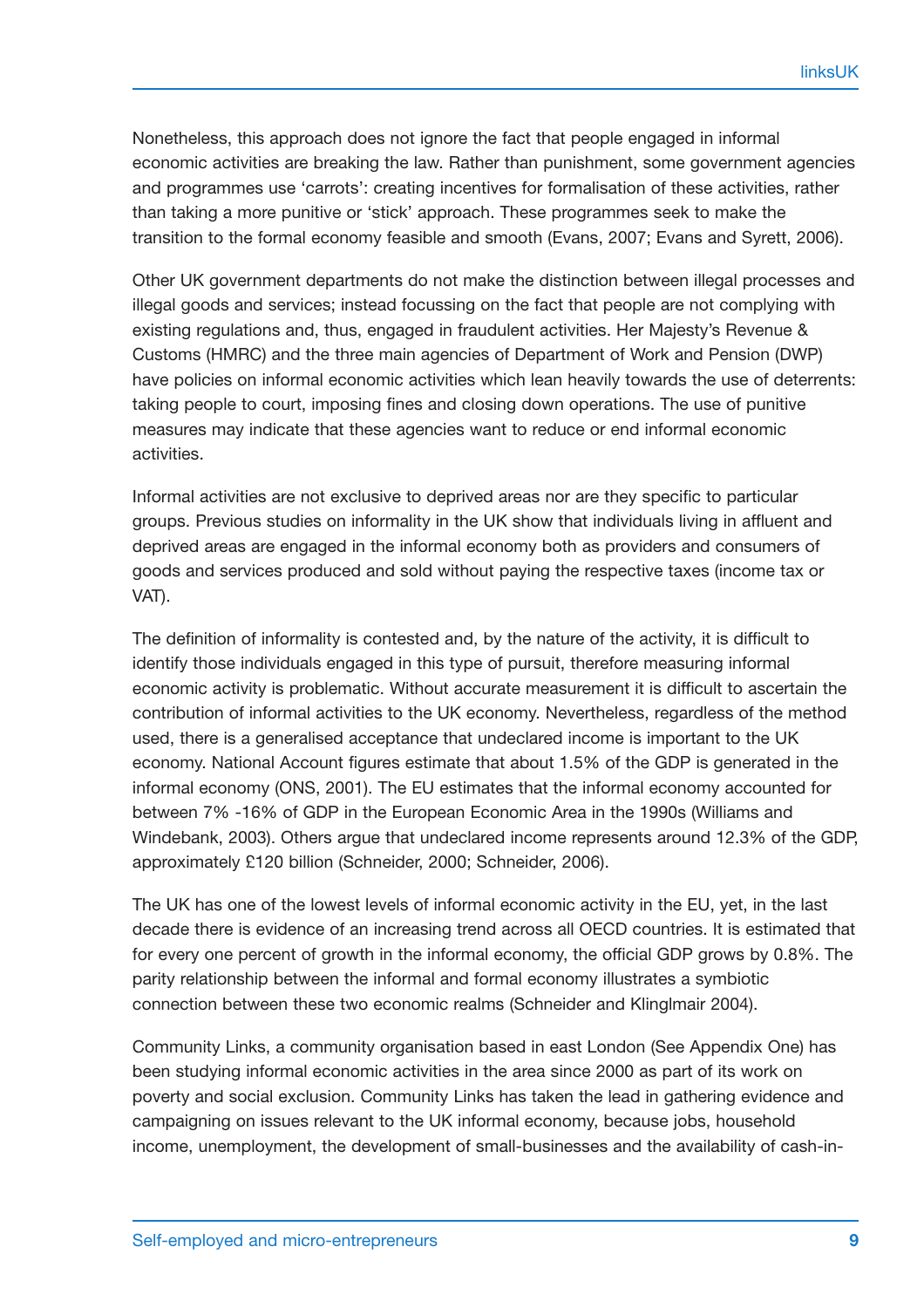Nonetheless, this approach does not ignore the fact that people engaged in informal economic activities are breaking the law. Rather than punishment, some government agencies and programmes use 'carrots': creating incentives for formalisation of these activities, rather than taking a more punitive or 'stick' approach. These programmes seek to make the transition to the formal economy feasible and smooth (Evans, 2007; Evans and Syrett, 2006).

Other UK government departments do not make the distinction between illegal processes and illegal goods and services; instead focussing on the fact that people are not complying with existing regulations and, thus, engaged in fraudulent activities. Her Majesty's Revenue & Customs (HMRC) and the three main agencies of Department of Work and Pension (DWP) have policies on informal economic activities which lean heavily towards the use of deterrents: taking people to court, imposing fines and closing down operations. The use of punitive measures may indicate that these agencies want to reduce or end informal economic activities.

Informal activities are not exclusive to deprived areas nor are they specific to particular groups. Previous studies on informality in the UK show that individuals living in affluent and deprived areas are engaged in the informal economy both as providers and consumers of goods and services produced and sold without paying the respective taxes (income tax or VAT).

The definition of informality is contested and, by the nature of the activity, it is difficult to identify those individuals engaged in this type of pursuit, therefore measuring informal economic activity is problematic. Without accurate measurement it is difficult to ascertain the contribution of informal activities to the UK economy. Nevertheless, regardless of the method used, there is a generalised acceptance that undeclared income is important to the UK economy. National Account figures estimate that about 1.5% of the GDP is generated in the informal economy (ONS, 2001). The EU estimates that the informal economy accounted for between 7% -16% of GDP in the European Economic Area in the 1990s (Williams and Windebank, 2003). Others argue that undeclared income represents around 12.3% of the GDP, approximately £120 billion (Schneider, 2000; Schneider, 2006).

The UK has one of the lowest levels of informal economic activity in the EU, yet, in the last decade there is evidence of an increasing trend across all OECD countries. It is estimated that for every one percent of growth in the informal economy, the official GDP grows by 0.8%. The parity relationship between the informal and formal economy illustrates a symbiotic connection between these two economic realms (Schneider and Klinglmair 2004).

Community Links, a community organisation based in east London (See Appendix One) has been studying informal economic activities in the area since 2000 as part of its work on poverty and social exclusion. Community Links has taken the lead in gathering evidence and campaigning on issues relevant to the UK informal economy, because jobs, household income, unemployment, the development of small-businesses and the availability of cash-in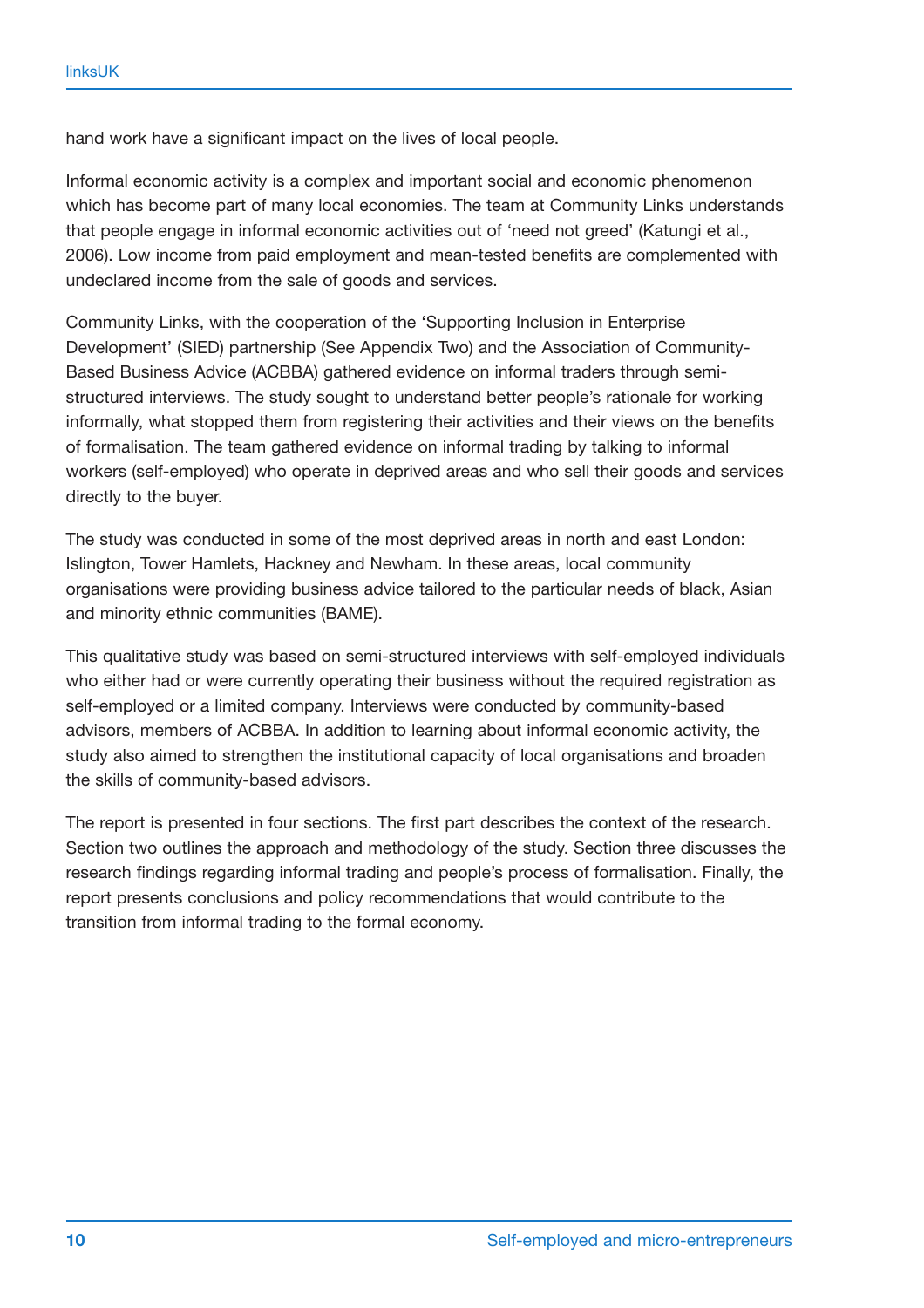hand work have a significant impact on the lives of local people.

Informal economic activity is a complex and important social and economic phenomenon which has become part of many local economies. The team at Community Links understands that people engage in informal economic activities out of 'need not greed' (Katungi et al., 2006). Low income from paid employment and mean-tested benefits are complemented with undeclared income from the sale of goods and services.

Community Links, with the cooperation of the 'Supporting Inclusion in Enterprise Development' (SIED) partnership (See Appendix Two) and the Association of Community-Based Business Advice (ACBBA) gathered evidence on informal traders through semistructured interviews. The study sought to understand better people's rationale for working informally, what stopped them from registering their activities and their views on the benefits of formalisation. The team gathered evidence on informal trading by talking to informal workers (self-employed) who operate in deprived areas and who sell their goods and services directly to the buyer.

The study was conducted in some of the most deprived areas in north and east London: Islington, Tower Hamlets, Hackney and Newham. In these areas, local community organisations were providing business advice tailored to the particular needs of black, Asian and minority ethnic communities (BAME).

This qualitative study was based on semi-structured interviews with self-employed individuals who either had or were currently operating their business without the required registration as self-employed or a limited company. Interviews were conducted by community-based advisors, members of ACBBA. In addition to learning about informal economic activity, the study also aimed to strengthen the institutional capacity of local organisations and broaden the skills of community-based advisors.

The report is presented in four sections. The first part describes the context of the research. Section two outlines the approach and methodology of the study. Section three discusses the research findings regarding informal trading and people's process of formalisation. Finally, the report presents conclusions and policy recommendations that would contribute to the transition from informal trading to the formal economy.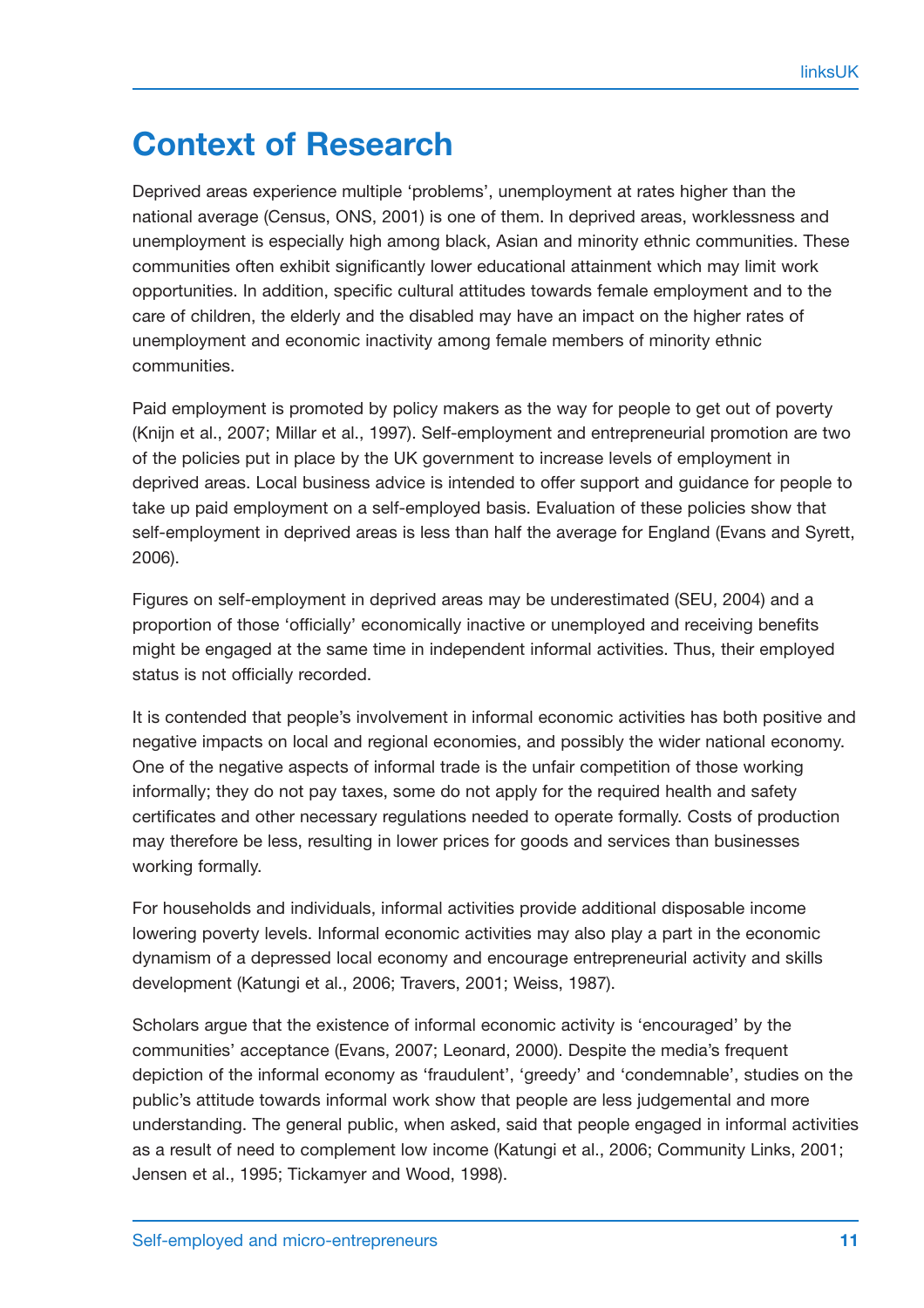# **Context of Research**

Deprived areas experience multiple 'problems', unemployment at rates higher than the national average (Census, ONS, 2001) is one of them. In deprived areas, worklessness and unemployment is especially high among black, Asian and minority ethnic communities. These communities often exhibit significantly lower educational attainment which may limit work opportunities. In addition, specific cultural attitudes towards female employment and to the care of children, the elderly and the disabled may have an impact on the higher rates of unemployment and economic inactivity among female members of minority ethnic communities.

Paid employment is promoted by policy makers as the way for people to get out of poverty (Knijn et al., 2007; Millar et al., 1997). Self-employment and entrepreneurial promotion are two of the policies put in place by the UK government to increase levels of employment in deprived areas. Local business advice is intended to offer support and guidance for people to take up paid employment on a self-employed basis. Evaluation of these policies show that self-employment in deprived areas is less than half the average for England (Evans and Syrett, 2006).

Figures on self-employment in deprived areas may be underestimated (SEU, 2004) and a proportion of those 'officially' economically inactive or unemployed and receiving benefits might be engaged at the same time in independent informal activities. Thus, their employed status is not officially recorded.

It is contended that people's involvement in informal economic activities has both positive and negative impacts on local and regional economies, and possibly the wider national economy. One of the negative aspects of informal trade is the unfair competition of those working informally; they do not pay taxes, some do not apply for the required health and safety certificates and other necessary regulations needed to operate formally. Costs of production may therefore be less, resulting in lower prices for goods and services than businesses working formally.

For households and individuals, informal activities provide additional disposable income lowering poverty levels. Informal economic activities may also play a part in the economic dynamism of a depressed local economy and encourage entrepreneurial activity and skills development (Katungi et al., 2006; Travers, 2001; Weiss, 1987).

Scholars argue that the existence of informal economic activity is 'encouraged' by the communities' acceptance (Evans, 2007; Leonard, 2000). Despite the media's frequent depiction of the informal economy as 'fraudulent', 'greedy' and 'condemnable', studies on the public's attitude towards informal work show that people are less judgemental and more understanding. The general public, when asked, said that people engaged in informal activities as a result of need to complement low income (Katungi et al., 2006; Community Links, 2001; Jensen et al., 1995; Tickamyer and Wood, 1998).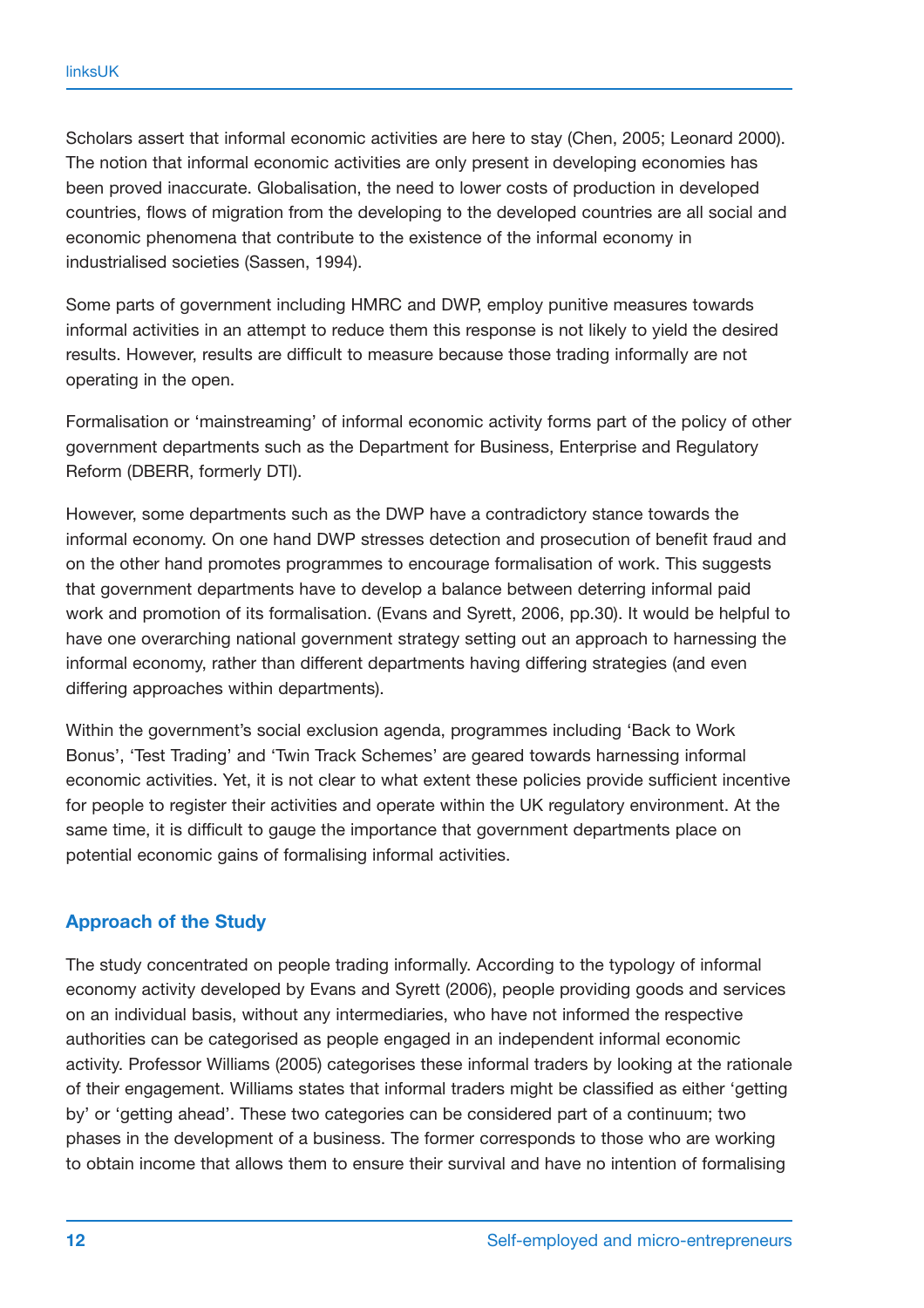Scholars assert that informal economic activities are here to stay (Chen, 2005; Leonard 2000). The notion that informal economic activities are only present in developing economies has been proved inaccurate. Globalisation, the need to lower costs of production in developed countries, flows of migration from the developing to the developed countries are all social and economic phenomena that contribute to the existence of the informal economy in industrialised societies (Sassen, 1994).

Some parts of government including HMRC and DWP, employ punitive measures towards informal activities in an attempt to reduce them this response is not likely to yield the desired results. However, results are difficult to measure because those trading informally are not operating in the open.

Formalisation or 'mainstreaming' of informal economic activity forms part of the policy of other government departments such as the Department for Business, Enterprise and Regulatory Reform (DBERR, formerly DTI).

However, some departments such as the DWP have a contradictory stance towards the informal economy. On one hand DWP stresses detection and prosecution of benefit fraud and on the other hand promotes programmes to encourage formalisation of work. This suggests that government departments have to develop a balance between deterring informal paid work and promotion of its formalisation. (Evans and Syrett, 2006, pp.30). It would be helpful to have one overarching national government strategy setting out an approach to harnessing the informal economy, rather than different departments having differing strategies (and even differing approaches within departments).

Within the government's social exclusion agenda, programmes including 'Back to Work Bonus', 'Test Trading' and 'Twin Track Schemes' are geared towards harnessing informal economic activities. Yet, it is not clear to what extent these policies provide sufficient incentive for people to register their activities and operate within the UK regulatory environment. At the same time, it is difficult to gauge the importance that government departments place on potential economic gains of formalising informal activities.

## **Approach of the Study**

The study concentrated on people trading informally. According to the typology of informal economy activity developed by Evans and Syrett (2006), people providing goods and services on an individual basis, without any intermediaries, who have not informed the respective authorities can be categorised as people engaged in an independent informal economic activity. Professor Williams (2005) categorises these informal traders by looking at the rationale of their engagement. Williams states that informal traders might be classified as either 'getting by' or 'getting ahead'. These two categories can be considered part of a continuum; two phases in the development of a business. The former corresponds to those who are working to obtain income that allows them to ensure their survival and have no intention of formalising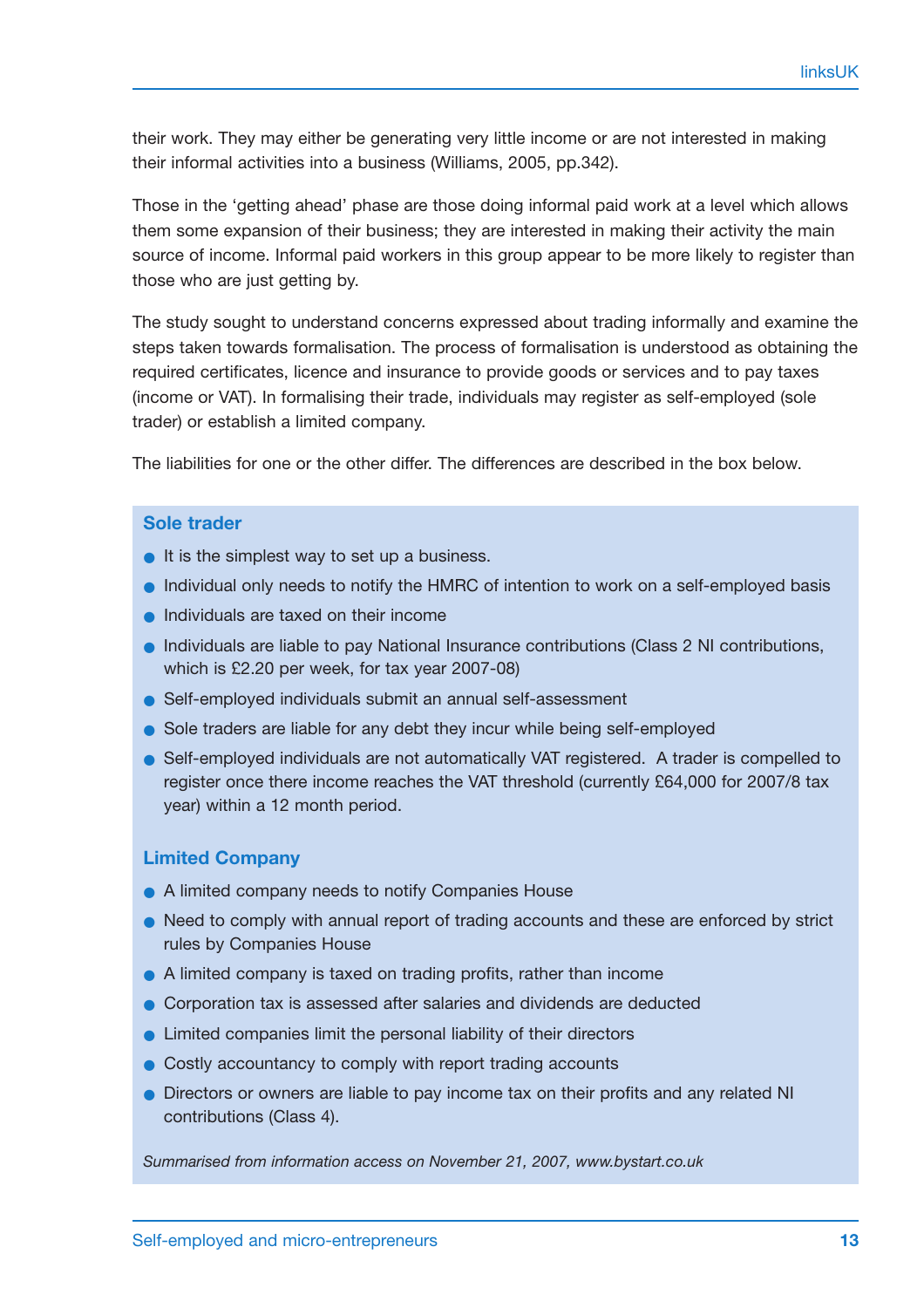their work. They may either be generating very little income or are not interested in making their informal activities into a business (Williams, 2005, pp.342).

Those in the 'getting ahead' phase are those doing informal paid work at a level which allows them some expansion of their business; they are interested in making their activity the main source of income. Informal paid workers in this group appear to be more likely to register than those who are just getting by.

The study sought to understand concerns expressed about trading informally and examine the steps taken towards formalisation. The process of formalisation is understood as obtaining the required certificates, licence and insurance to provide goods or services and to pay taxes (income or VAT). In formalising their trade, individuals may register as self-employed (sole trader) or establish a limited company.

The liabilities for one or the other differ. The differences are described in the box below.

#### **Sole trader**

- It is the simplest way to set up a business.
- Individual only needs to notify the HMRC of intention to work on a self-employed basis
- Individuals are taxed on their income
- Individuals are liable to pay National Insurance contributions (Class 2 NI contributions, which is £2.20 per week, for tax year 2007-08)
- Self-employed individuals submit an annual self-assessment
- Sole traders are liable for any debt they incur while being self-employed
- Self-employed individuals are not automatically VAT registered. A trader is compelled to register once there income reaches the VAT threshold (currently £64,000 for 2007/8 tax year) within a 12 month period.

## **Limited Company**

- A limited company needs to notify Companies House
- Need to comply with annual report of trading accounts and these are enforced by strict rules by Companies House
- A limited company is taxed on trading profits, rather than income
- Corporation tax is assessed after salaries and dividends are deducted
- Limited companies limit the personal liability of their directors
- Costly accountancy to comply with report trading accounts
- Directors or owners are liable to pay income tax on their profits and any related NI contributions (Class 4).

*Summarised from information access on November 21, 2007, www.bystart.co.uk*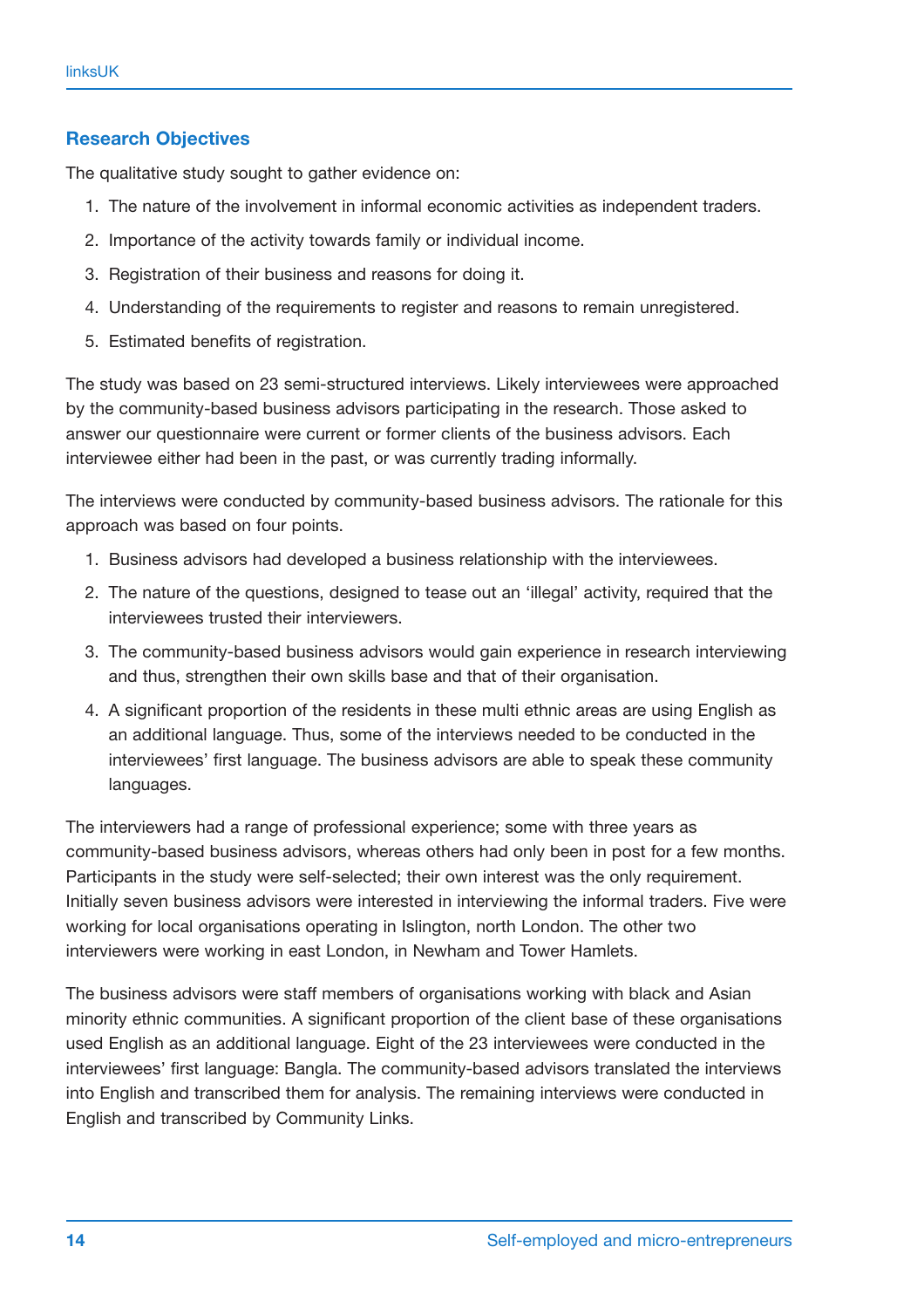## **Research Objectives**

The qualitative study sought to gather evidence on:

- 1. The nature of the involvement in informal economic activities as independent traders.
- 2. Importance of the activity towards family or individual income.
- 3. Registration of their business and reasons for doing it.
- 4. Understanding of the requirements to register and reasons to remain unregistered.
- 5. Estimated benefits of registration.

The study was based on 23 semi-structured interviews. Likely interviewees were approached by the community-based business advisors participating in the research. Those asked to answer our questionnaire were current or former clients of the business advisors. Each interviewee either had been in the past, or was currently trading informally.

The interviews were conducted by community-based business advisors. The rationale for this approach was based on four points.

- 1. Business advisors had developed a business relationship with the interviewees.
- 2. The nature of the questions, designed to tease out an 'illegal' activity, required that the interviewees trusted their interviewers.
- 3. The community-based business advisors would gain experience in research interviewing and thus, strengthen their own skills base and that of their organisation.
- 4. A significant proportion of the residents in these multi ethnic areas are using English as an additional language. Thus, some of the interviews needed to be conducted in the interviewees' first language. The business advisors are able to speak these community languages.

The interviewers had a range of professional experience; some with three years as community-based business advisors, whereas others had only been in post for a few months. Participants in the study were self-selected; their own interest was the only requirement. Initially seven business advisors were interested in interviewing the informal traders. Five were working for local organisations operating in Islington, north London. The other two interviewers were working in east London, in Newham and Tower Hamlets.

The business advisors were staff members of organisations working with black and Asian minority ethnic communities. A significant proportion of the client base of these organisations used English as an additional language. Eight of the 23 interviewees were conducted in the interviewees' first language: Bangla. The community-based advisors translated the interviews into English and transcribed them for analysis. The remaining interviews were conducted in English and transcribed by Community Links.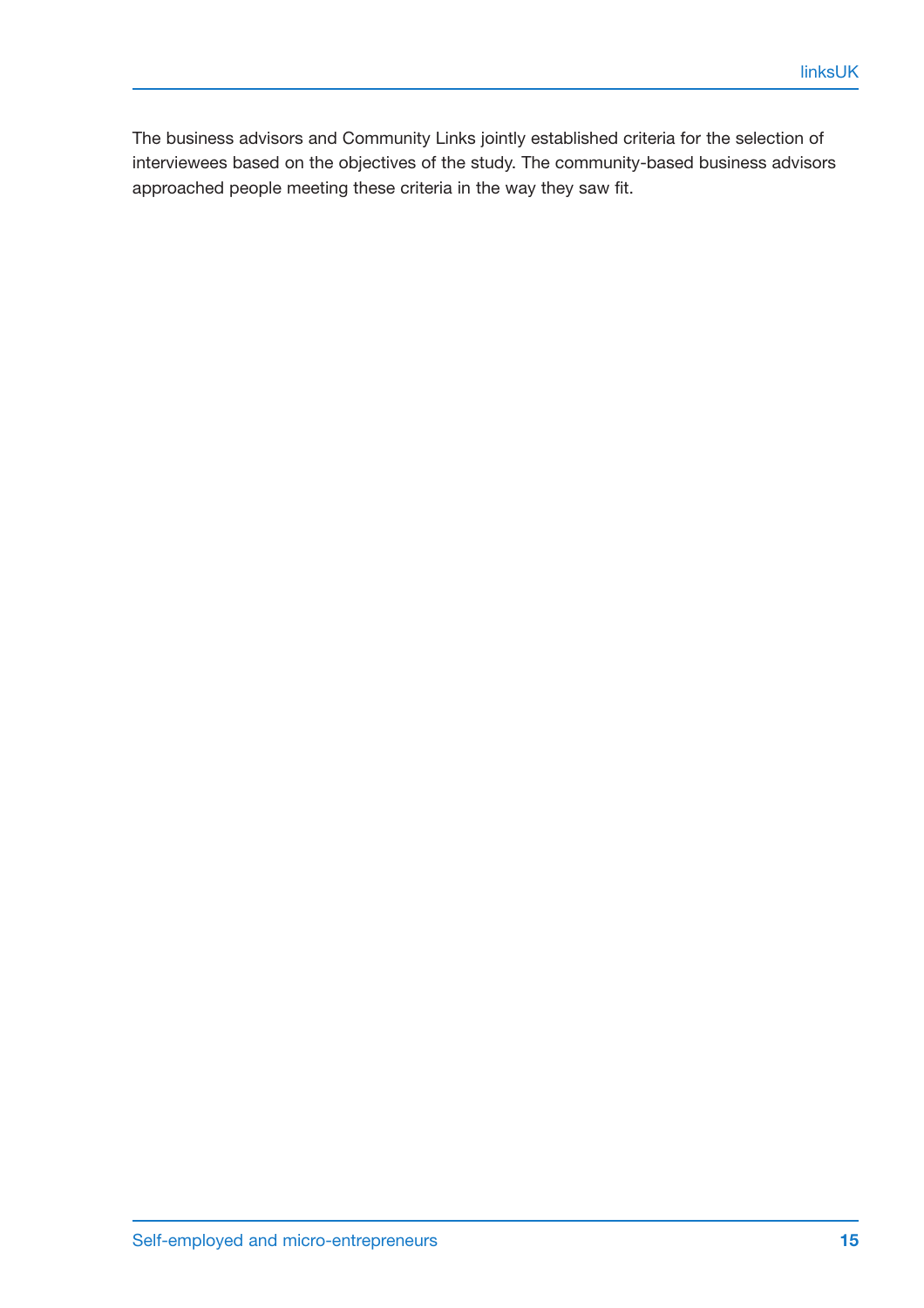The business advisors and Community Links jointly established criteria for the selection of interviewees based on the objectives of the study. The community-based business advisors approached people meeting these criteria in the way they saw fit.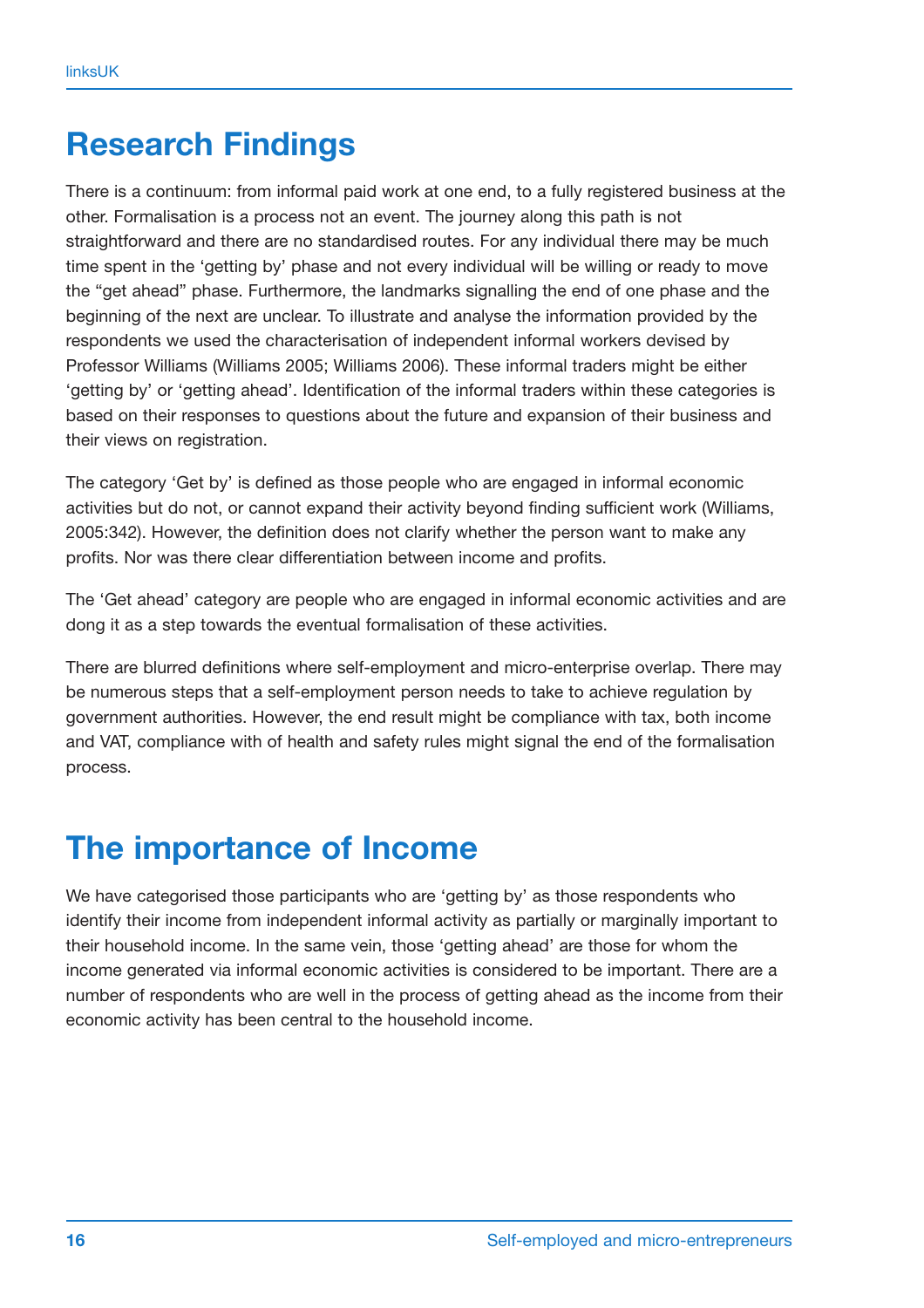# **Research Findings**

There is a continuum: from informal paid work at one end, to a fully registered business at the other. Formalisation is a process not an event. The journey along this path is not straightforward and there are no standardised routes. For any individual there may be much time spent in the 'getting by' phase and not every individual will be willing or ready to move the "get ahead" phase. Furthermore, the landmarks signalling the end of one phase and the beginning of the next are unclear. To illustrate and analyse the information provided by the respondents we used the characterisation of independent informal workers devised by Professor Williams (Williams 2005; Williams 2006). These informal traders might be either 'getting by' or 'getting ahead'. Identification of the informal traders within these categories is based on their responses to questions about the future and expansion of their business and their views on registration.

The category 'Get by' is defined as those people who are engaged in informal economic activities but do not, or cannot expand their activity beyond finding sufficient work (Williams, 2005:342). However, the definition does not clarify whether the person want to make any profits. Nor was there clear differentiation between income and profits.

The 'Get ahead' category are people who are engaged in informal economic activities and are dong it as a step towards the eventual formalisation of these activities.

There are blurred definitions where self-employment and micro-enterprise overlap. There may be numerous steps that a self-employment person needs to take to achieve regulation by government authorities. However, the end result might be compliance with tax, both income and VAT, compliance with of health and safety rules might signal the end of the formalisation process.

## **The importance of Income**

We have categorised those participants who are 'getting by' as those respondents who identify their income from independent informal activity as partially or marginally important to their household income. In the same vein, those 'getting ahead' are those for whom the income generated via informal economic activities is considered to be important. There are a number of respondents who are well in the process of getting ahead as the income from their economic activity has been central to the household income.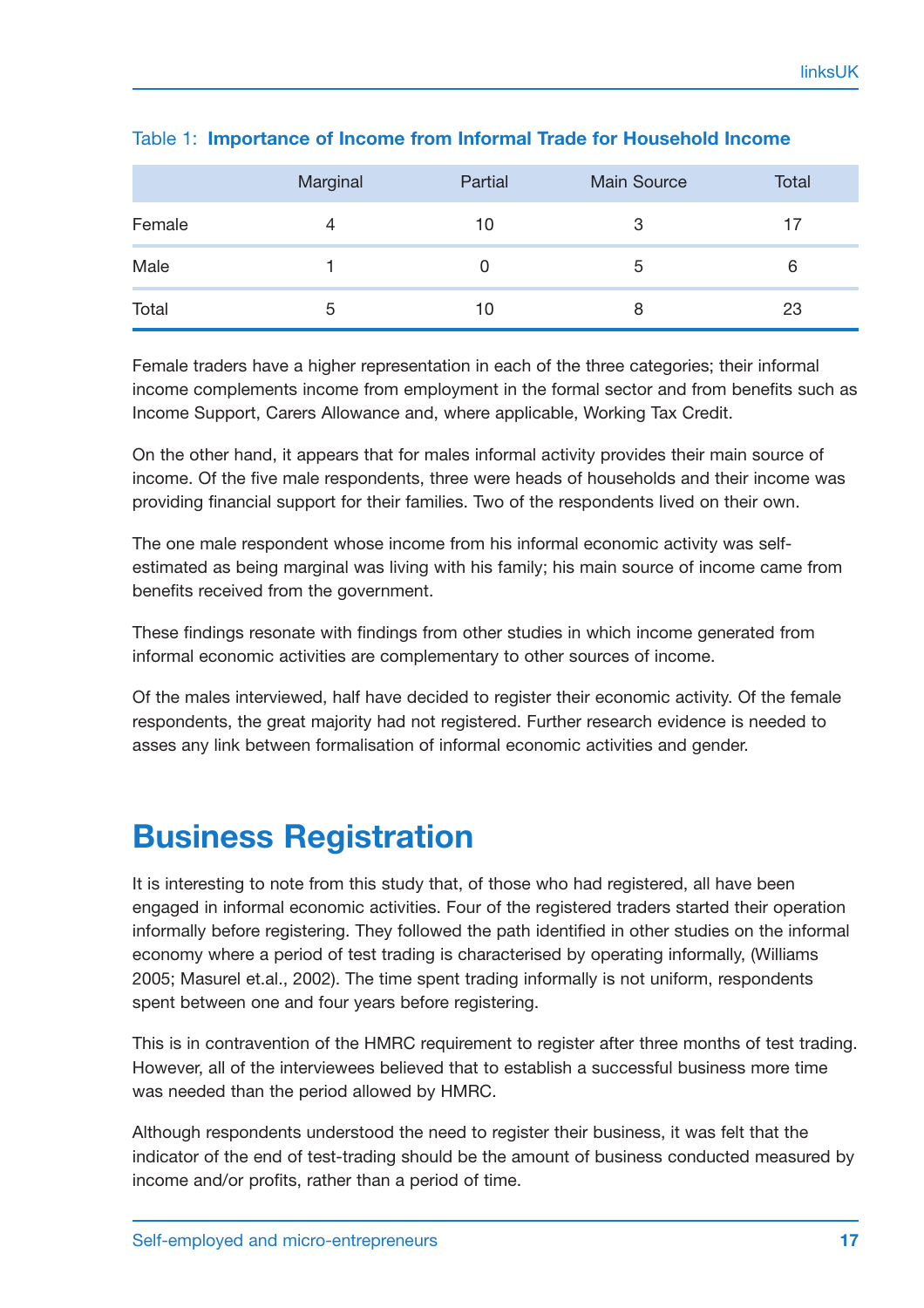|        | Marginal | Partial | <b>Main Source</b> | Total |
|--------|----------|---------|--------------------|-------|
| Female | 4        | 10      | 3                  | 17    |
| Male   |          |         | b                  | 6     |
| Total  | 5        | 10      | 8                  | 23    |

## Table 1: **Importance of Income from Informal Trade for Household Income**

Female traders have a higher representation in each of the three categories; their informal income complements income from employment in the formal sector and from benefits such as Income Support, Carers Allowance and, where applicable, Working Tax Credit.

On the other hand, it appears that for males informal activity provides their main source of income. Of the five male respondents, three were heads of households and their income was providing financial support for their families. Two of the respondents lived on their own.

The one male respondent whose income from his informal economic activity was selfestimated as being marginal was living with his family; his main source of income came from benefits received from the government.

These findings resonate with findings from other studies in which income generated from informal economic activities are complementary to other sources of income.

Of the males interviewed, half have decided to register their economic activity. Of the female respondents, the great majority had not registered. Further research evidence is needed to asses any link between formalisation of informal economic activities and gender.

# **Business Registration**

It is interesting to note from this study that, of those who had registered, all have been engaged in informal economic activities. Four of the registered traders started their operation informally before registering. They followed the path identified in other studies on the informal economy where a period of test trading is characterised by operating informally, (Williams 2005; Masurel et.al., 2002). The time spent trading informally is not uniform, respondents spent between one and four years before registering.

This is in contravention of the HMRC requirement to register after three months of test trading. However, all of the interviewees believed that to establish a successful business more time was needed than the period allowed by HMRC.

Although respondents understood the need to register their business, it was felt that the indicator of the end of test-trading should be the amount of business conducted measured by income and/or profits, rather than a period of time.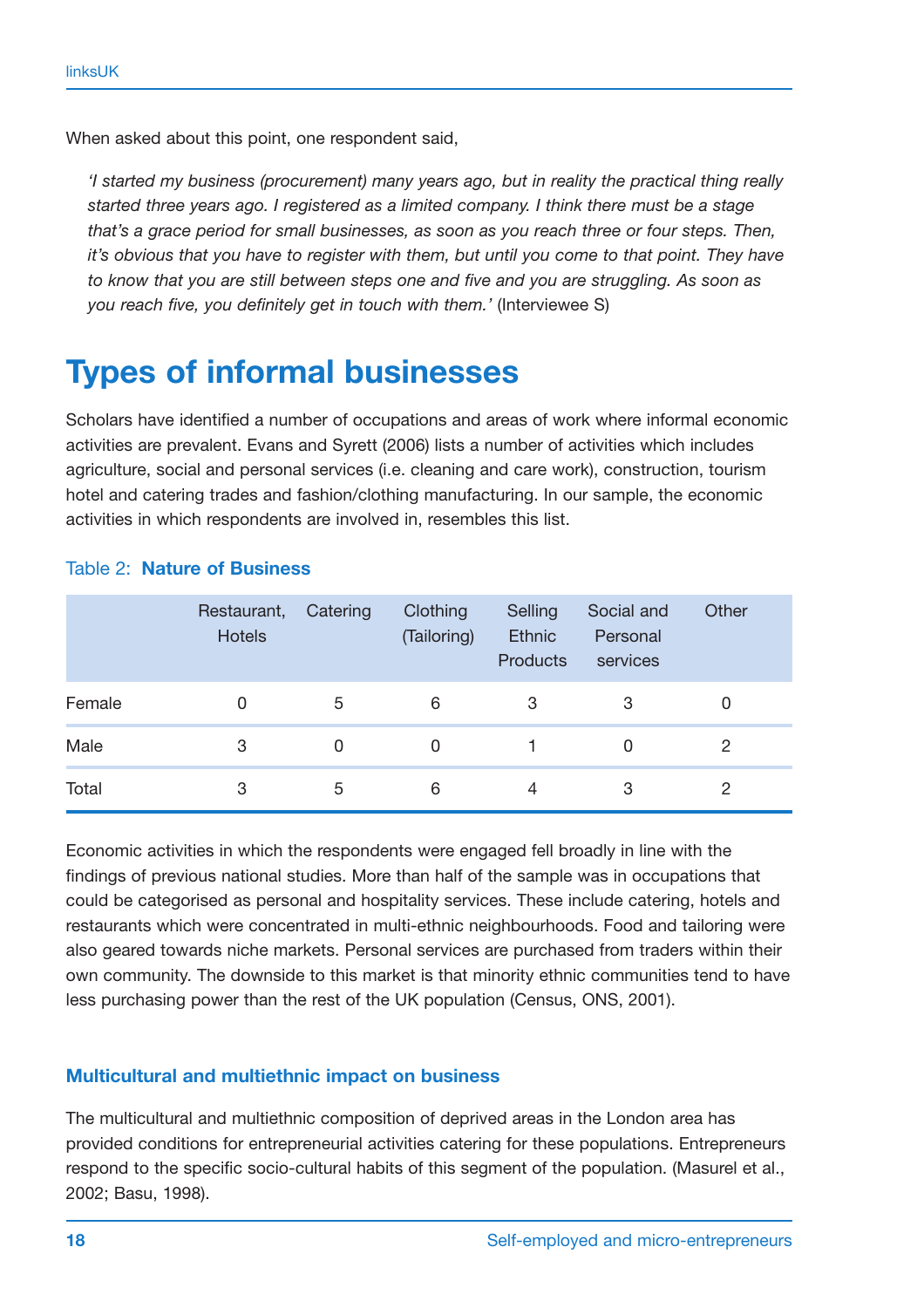When asked about this point, one respondent said,

*'I started my business (procurement) many years ago, but in reality the practical thing really started three years ago. I registered as a limited company. I think there must be a stage that's a grace period for small businesses, as soon as you reach three or four steps. Then, it's obvious that you have to register with them, but until you come to that point. They have to know that you are still between steps one and five and you are struggling. As soon as you reach five, you definitely get in touch with them.'* (Interviewee S)

## **Types of informal businesses**

Scholars have identified a number of occupations and areas of work where informal economic activities are prevalent. Evans and Syrett (2006) lists a number of activities which includes agriculture, social and personal services (i.e. cleaning and care work), construction, tourism hotel and catering trades and fashion/clothing manufacturing. In our sample, the economic activities in which respondents are involved in, resembles this list.

|        | Restaurant,<br><b>Hotels</b> | Catering | Clothing<br>(Tailoring) | Selling<br><b>Ethnic</b><br><b>Products</b> | Social and<br>Personal<br>services | Other |
|--------|------------------------------|----------|-------------------------|---------------------------------------------|------------------------------------|-------|
| Female |                              | 5        | 6                       | 3                                           | 3                                  |       |
| Male   | 3                            |          | 0                       |                                             |                                    | 2     |
| Total  | З                            | ხ        | 6                       | 4                                           | 3                                  | 2     |

#### Table 2: **Nature of Business**

Economic activities in which the respondents were engaged fell broadly in line with the findings of previous national studies. More than half of the sample was in occupations that could be categorised as personal and hospitality services. These include catering, hotels and restaurants which were concentrated in multi-ethnic neighbourhoods. Food and tailoring were also geared towards niche markets. Personal services are purchased from traders within their own community. The downside to this market is that minority ethnic communities tend to have less purchasing power than the rest of the UK population (Census, ONS, 2001).

## **Multicultural and multiethnic impact on business**

The multicultural and multiethnic composition of deprived areas in the London area has provided conditions for entrepreneurial activities catering for these populations. Entrepreneurs respond to the specific socio-cultural habits of this segment of the population. (Masurel et al., 2002; Basu, 1998).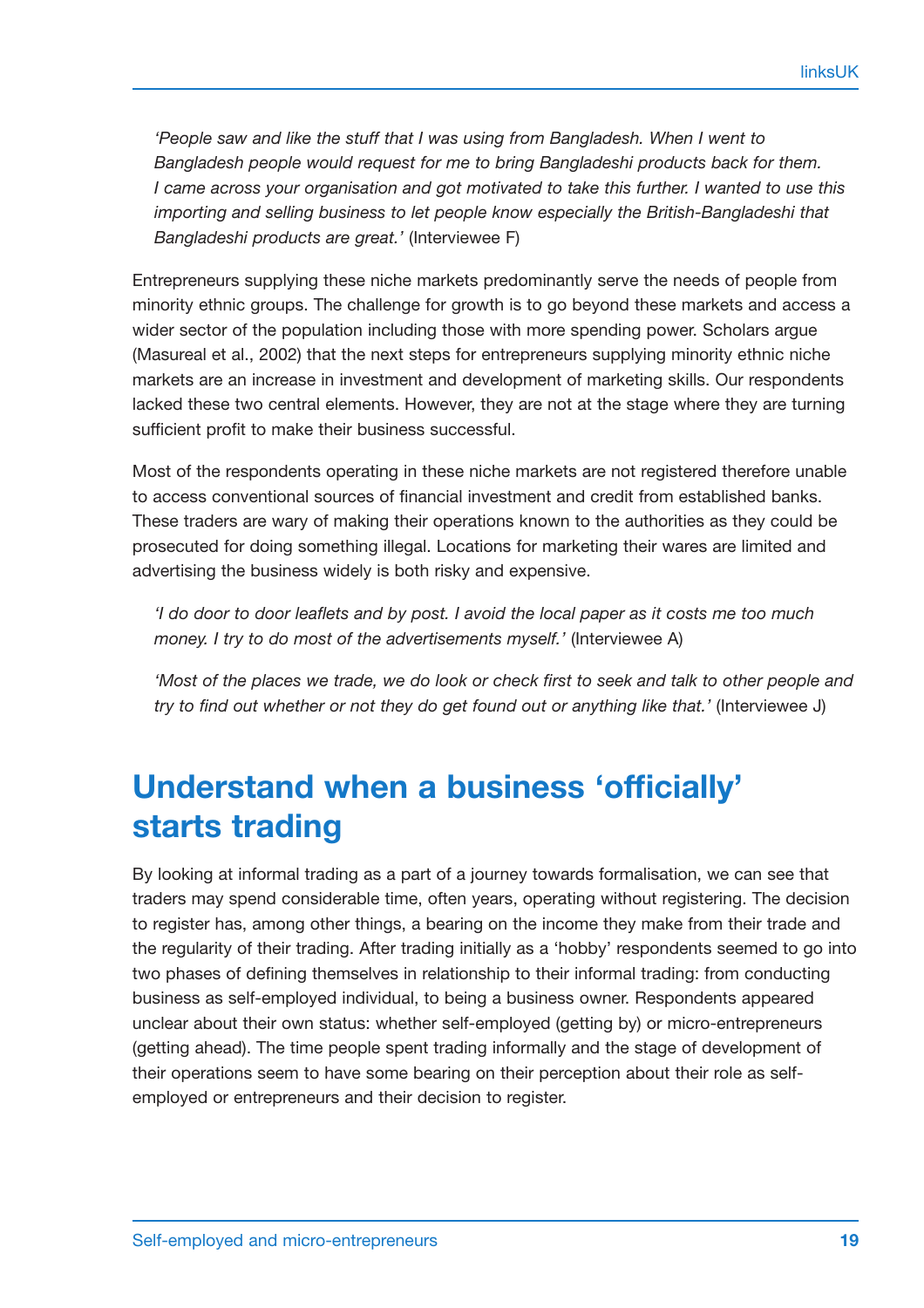*'People saw and like the stuff that I was using from Bangladesh. When I went to Bangladesh people would request for me to bring Bangladeshi products back for them. I came across your organisation and got motivated to take this further. I wanted to use this importing and selling business to let people know especially the British-Bangladeshi that Bangladeshi products are great.'* (Interviewee F)

Entrepreneurs supplying these niche markets predominantly serve the needs of people from minority ethnic groups. The challenge for growth is to go beyond these markets and access a wider sector of the population including those with more spending power. Scholars argue (Masureal et al., 2002) that the next steps for entrepreneurs supplying minority ethnic niche markets are an increase in investment and development of marketing skills. Our respondents lacked these two central elements. However, they are not at the stage where they are turning sufficient profit to make their business successful.

Most of the respondents operating in these niche markets are not registered therefore unable to access conventional sources of financial investment and credit from established banks. These traders are wary of making their operations known to the authorities as they could be prosecuted for doing something illegal. Locations for marketing their wares are limited and advertising the business widely is both risky and expensive.

*'I do door to door leaflets and by post. I avoid the local paper as it costs me too much money. I try to do most of the advertisements myself.'* (Interviewee A)

*'Most of the places we trade, we do look or check first to seek and talk to other people and try to find out whether or not they do get found out or anything like that.'* (Interviewee J)

# **Understand when a business 'officially' starts trading**

By looking at informal trading as a part of a journey towards formalisation, we can see that traders may spend considerable time, often years, operating without registering. The decision to register has, among other things, a bearing on the income they make from their trade and the regularity of their trading. After trading initially as a 'hobby' respondents seemed to go into two phases of defining themselves in relationship to their informal trading: from conducting business as self-employed individual, to being a business owner. Respondents appeared unclear about their own status: whether self-employed (getting by) or micro-entrepreneurs (getting ahead). The time people spent trading informally and the stage of development of their operations seem to have some bearing on their perception about their role as selfemployed or entrepreneurs and their decision to register.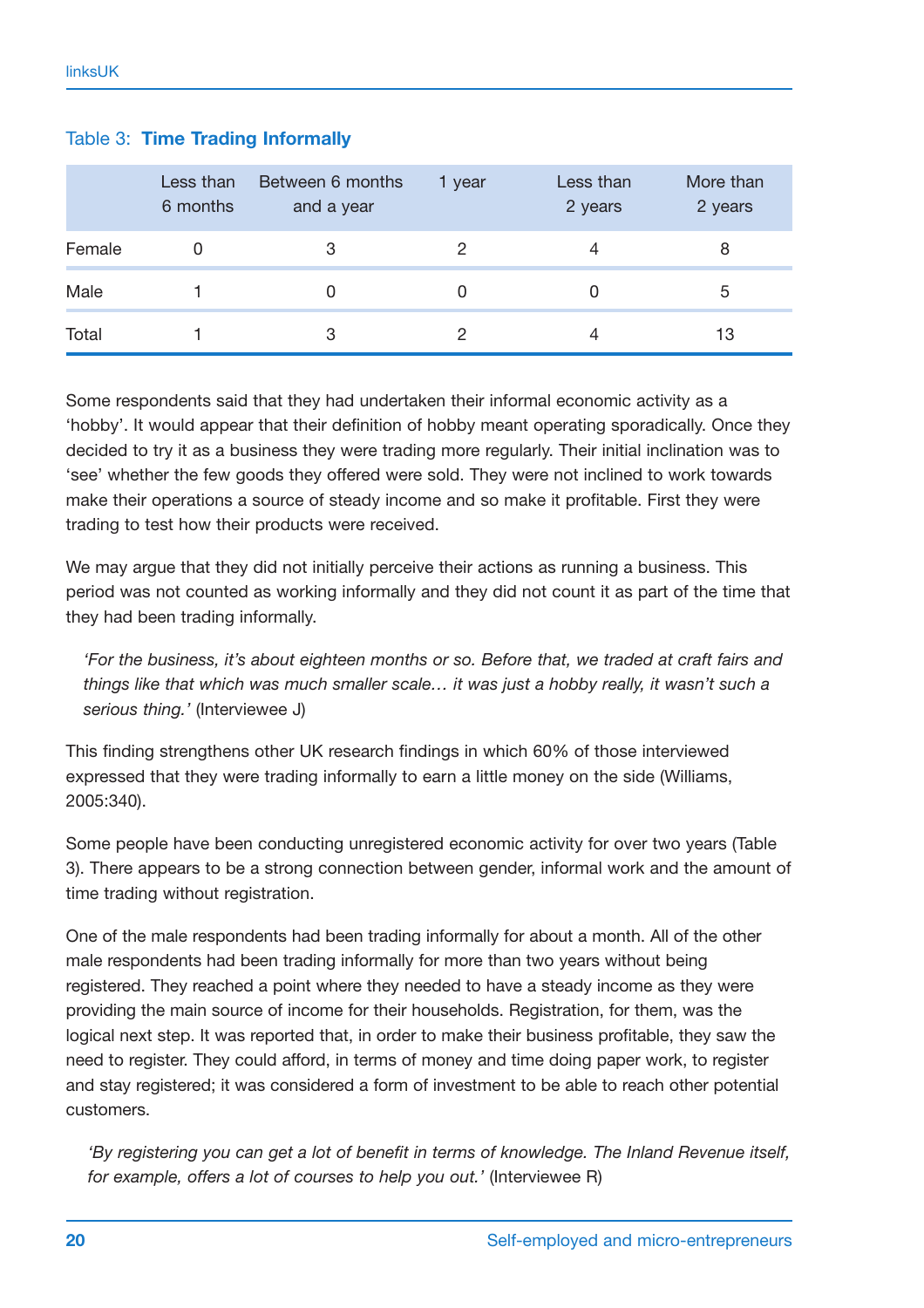|        | Less than<br>6 months | Between 6 months<br>and a year | 1 year | Less than<br>2 years | More than<br>2 years |
|--------|-----------------------|--------------------------------|--------|----------------------|----------------------|
| Female |                       |                                | ヮ      | 4                    | 8                    |
| Male   |                       |                                |        |                      | 5                    |
| Total  |                       |                                |        | 4                    | 13                   |

#### Table 3: **Time Trading Informally**

Some respondents said that they had undertaken their informal economic activity as a 'hobby'. It would appear that their definition of hobby meant operating sporadically. Once they decided to try it as a business they were trading more regularly. Their initial inclination was to 'see' whether the few goods they offered were sold. They were not inclined to work towards make their operations a source of steady income and so make it profitable. First they were trading to test how their products were received.

We may argue that they did not initially perceive their actions as running a business. This period was not counted as working informally and they did not count it as part of the time that they had been trading informally.

*'For the business, it's about eighteen months or so. Before that, we traded at craft fairs and things like that which was much smaller scale… it was just a hobby really, it wasn't such a serious thing.'* (Interviewee J)

This finding strengthens other UK research findings in which 60% of those interviewed expressed that they were trading informally to earn a little money on the side (Williams, 2005:340).

Some people have been conducting unregistered economic activity for over two years (Table 3). There appears to be a strong connection between gender, informal work and the amount of time trading without registration.

One of the male respondents had been trading informally for about a month. All of the other male respondents had been trading informally for more than two years without being registered. They reached a point where they needed to have a steady income as they were providing the main source of income for their households. Registration, for them, was the logical next step. It was reported that, in order to make their business profitable, they saw the need to register. They could afford, in terms of money and time doing paper work, to register and stay registered; it was considered a form of investment to be able to reach other potential customers.

*'By registering you can get a lot of benefit in terms of knowledge. The Inland Revenue itself, for example, offers a lot of courses to help you out.'* (Interviewee R)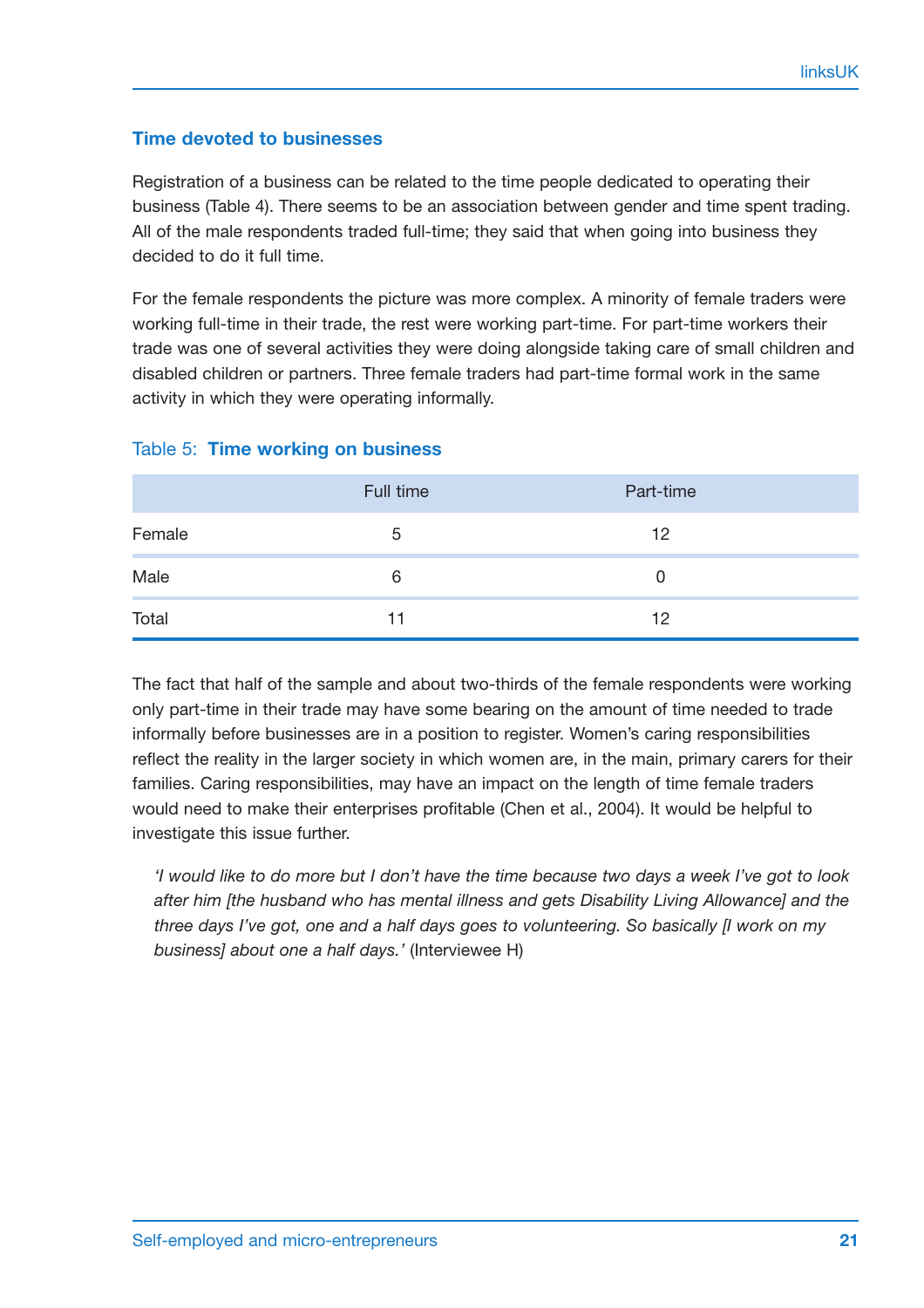## **Time devoted to businesses**

Registration of a business can be related to the time people dedicated to operating their business (Table 4). There seems to be an association between gender and time spent trading. All of the male respondents traded full-time; they said that when going into business they decided to do it full time.

For the female respondents the picture was more complex. A minority of female traders were working full-time in their trade, the rest were working part-time. For part-time workers their trade was one of several activities they were doing alongside taking care of small children and disabled children or partners. Three female traders had part-time formal work in the same activity in which they were operating informally.

|        | Full time | Part-time |  |
|--------|-----------|-----------|--|
| Female | 5         | 12        |  |
| Male   | 6         | U         |  |
| Total  | 11        | 12        |  |

#### Table 5: **Time working on business**

The fact that half of the sample and about two-thirds of the female respondents were working only part-time in their trade may have some bearing on the amount of time needed to trade informally before businesses are in a position to register. Women's caring responsibilities reflect the reality in the larger society in which women are, in the main, primary carers for their families. Caring responsibilities, may have an impact on the length of time female traders would need to make their enterprises profitable (Chen et al., 2004). It would be helpful to investigate this issue further.

*'I would like to do more but I don't have the time because two days a week I've got to look after him [the husband who has mental illness and gets Disability Living Allowance] and the three days I've got, one and a half days goes to volunteering. So basically [I work on my business] about one a half days.'* (Interviewee H)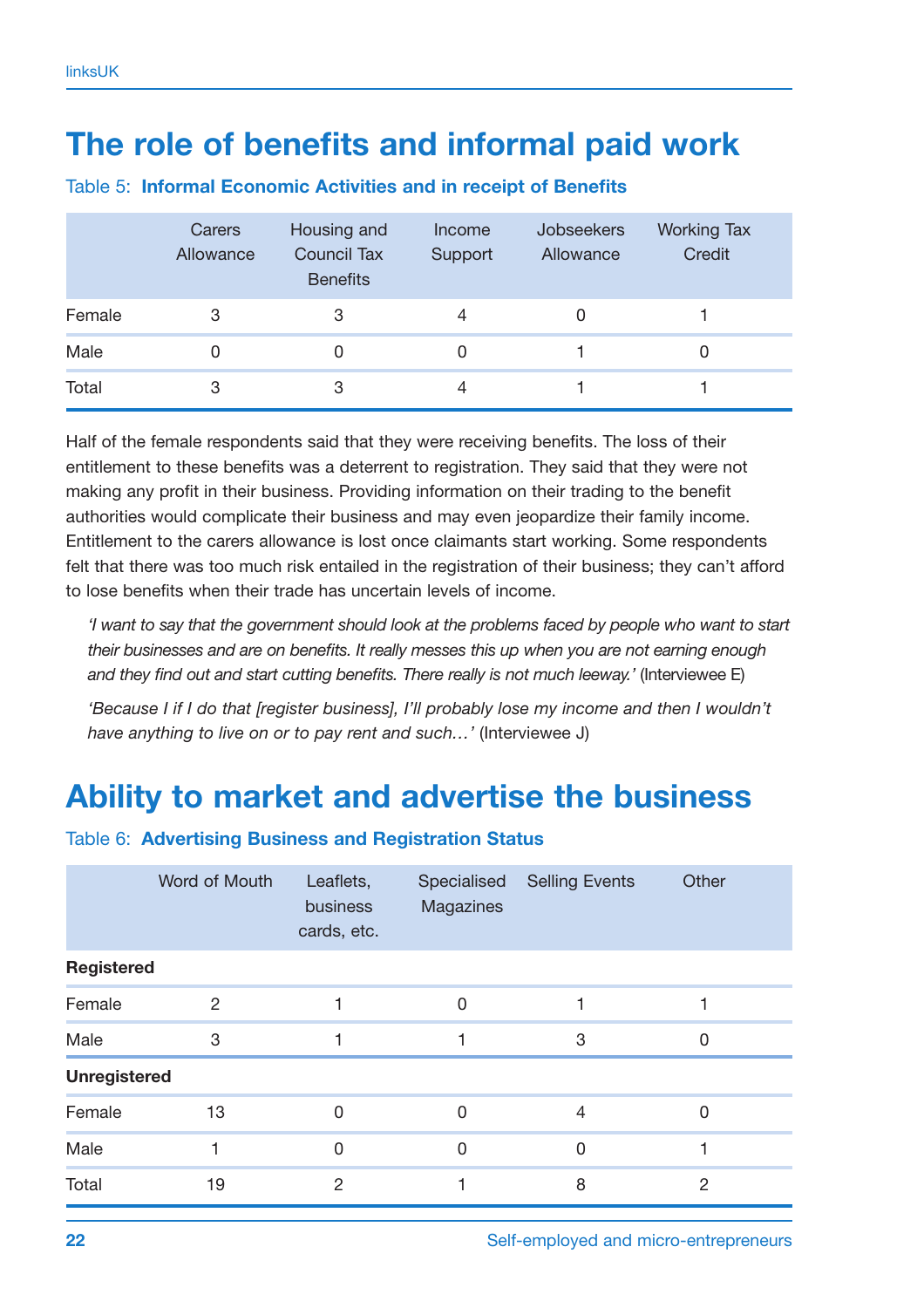# **The role of benefits and informal paid work**

|        | Carers<br>Allowance | Housing and<br><b>Council Tax</b><br><b>Benefits</b> | Income<br>Support | <b>Jobseekers</b><br>Allowance | <b>Working Tax</b><br>Credit |
|--------|---------------------|------------------------------------------------------|-------------------|--------------------------------|------------------------------|
| Female | 3                   | 3                                                    | 4                 |                                |                              |
| Male   |                     | Ω                                                    | 0                 |                                |                              |
| Total  | 3                   | 3                                                    | 4                 |                                |                              |

#### Table 5: **Informal Economic Activities and in receipt of Benefits**

Half of the female respondents said that they were receiving benefits. The loss of their entitlement to these benefits was a deterrent to registration. They said that they were not making any profit in their business. Providing information on their trading to the benefit authorities would complicate their business and may even jeopardize their family income. Entitlement to the carers allowance is lost once claimants start working. Some respondents felt that there was too much risk entailed in the registration of their business; they can't afford to lose benefits when their trade has uncertain levels of income.

*'I want to say that the government should look at the problems faced by people who want to start their businesses and are on benefits. It really messes this up when you are not earning enough and they find out and start cutting benefits. There really is not much leeway.'* (Interviewee E)

*'Because I if I do that [register business], I'll probably lose my income and then I wouldn't have anything to live on or to pay rent and such…'* (Interviewee J)

## **Ability to market and advertise the business**

|                     | Word of Mouth  | Leaflets,<br>business<br>cards, etc. | Specialised<br>Magazines | <b>Selling Events</b> | Other          |  |
|---------------------|----------------|--------------------------------------|--------------------------|-----------------------|----------------|--|
| <b>Registered</b>   |                |                                      |                          |                       |                |  |
| Female              | $\overline{2}$ |                                      | $\Omega$                 |                       |                |  |
| Male                | 3              |                                      | 1                        | 3                     | $\Omega$       |  |
| <b>Unregistered</b> |                |                                      |                          |                       |                |  |
| Female              | 13             | O                                    | $\Omega$                 | $\overline{4}$        | $\Omega$       |  |
| Male                |                | $\Omega$                             | $\Omega$                 | $\Omega$              |                |  |
| Total               | 19             | 2                                    |                          | 8                     | $\overline{2}$ |  |

#### Table 6: **Advertising Business and Registration Status**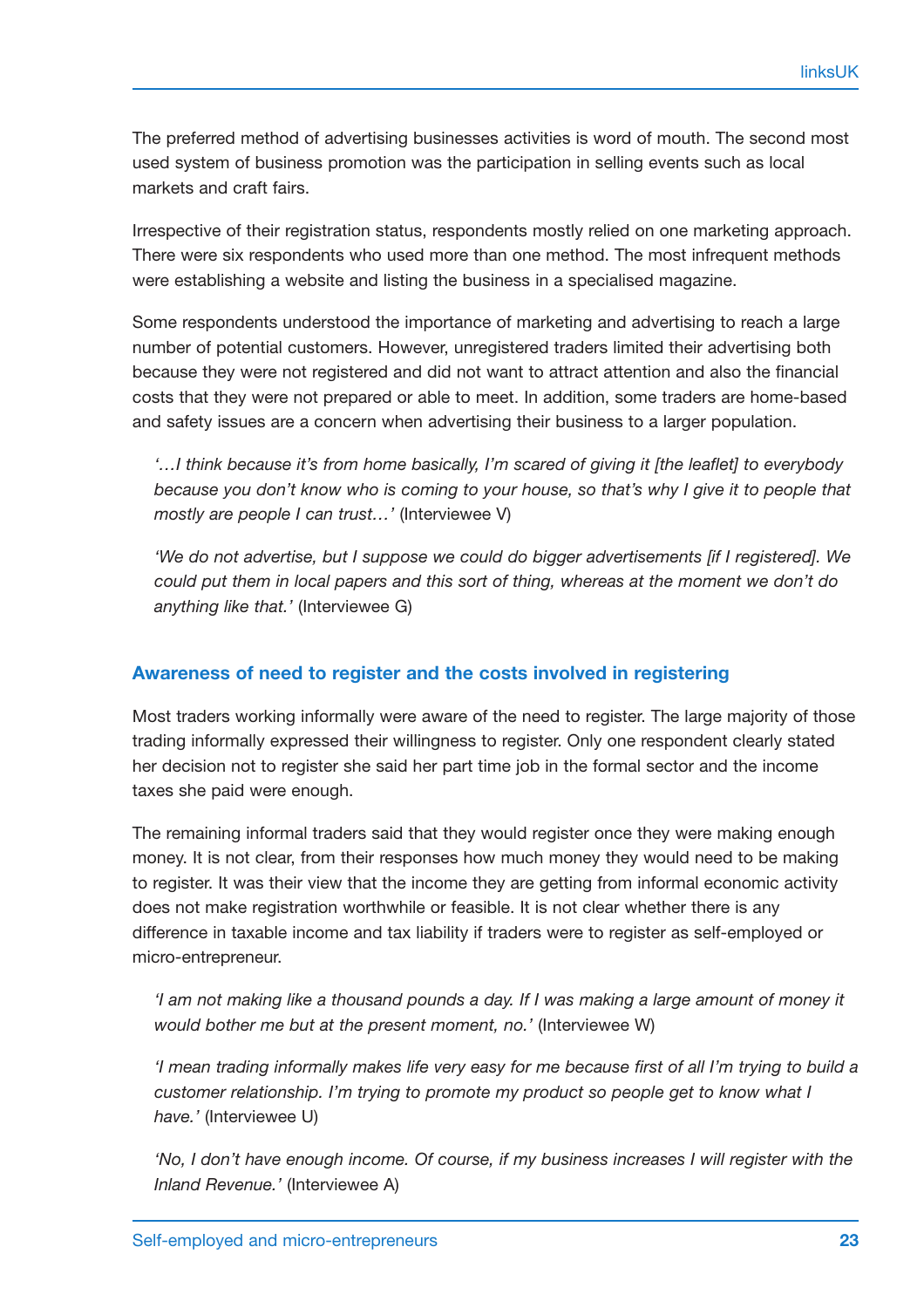The preferred method of advertising businesses activities is word of mouth. The second most used system of business promotion was the participation in selling events such as local markets and craft fairs.

Irrespective of their registration status, respondents mostly relied on one marketing approach. There were six respondents who used more than one method. The most infrequent methods were establishing a website and listing the business in a specialised magazine.

Some respondents understood the importance of marketing and advertising to reach a large number of potential customers. However, unregistered traders limited their advertising both because they were not registered and did not want to attract attention and also the financial costs that they were not prepared or able to meet. In addition, some traders are home-based and safety issues are a concern when advertising their business to a larger population.

*'…I think because it's from home basically, I'm scared of giving it [the leaflet] to everybody because you don't know who is coming to your house, so that's why I give it to people that mostly are people I can trust…'* (Interviewee V)

*'We do not advertise, but I suppose we could do bigger advertisements [if I registered]. We could put them in local papers and this sort of thing, whereas at the moment we don't do anything like that.'* (Interviewee G)

## **Awareness of need to register and the costs involved in registering**

Most traders working informally were aware of the need to register. The large majority of those trading informally expressed their willingness to register. Only one respondent clearly stated her decision not to register she said her part time job in the formal sector and the income taxes she paid were enough.

The remaining informal traders said that they would register once they were making enough money. It is not clear, from their responses how much money they would need to be making to register. It was their view that the income they are getting from informal economic activity does not make registration worthwhile or feasible. It is not clear whether there is any difference in taxable income and tax liability if traders were to register as self-employed or micro-entrepreneur.

*'I am not making like a thousand pounds a day. If I was making a large amount of money it would bother me but at the present moment, no.'* (Interviewee W)

*'I mean trading informally makes life very easy for me because first of all I'm trying to build a customer relationship. I'm trying to promote my product so people get to know what I have.'* (Interviewee U)

*'No, I don't have enough income. Of course, if my business increases I will register with the Inland Revenue.'* (Interviewee A)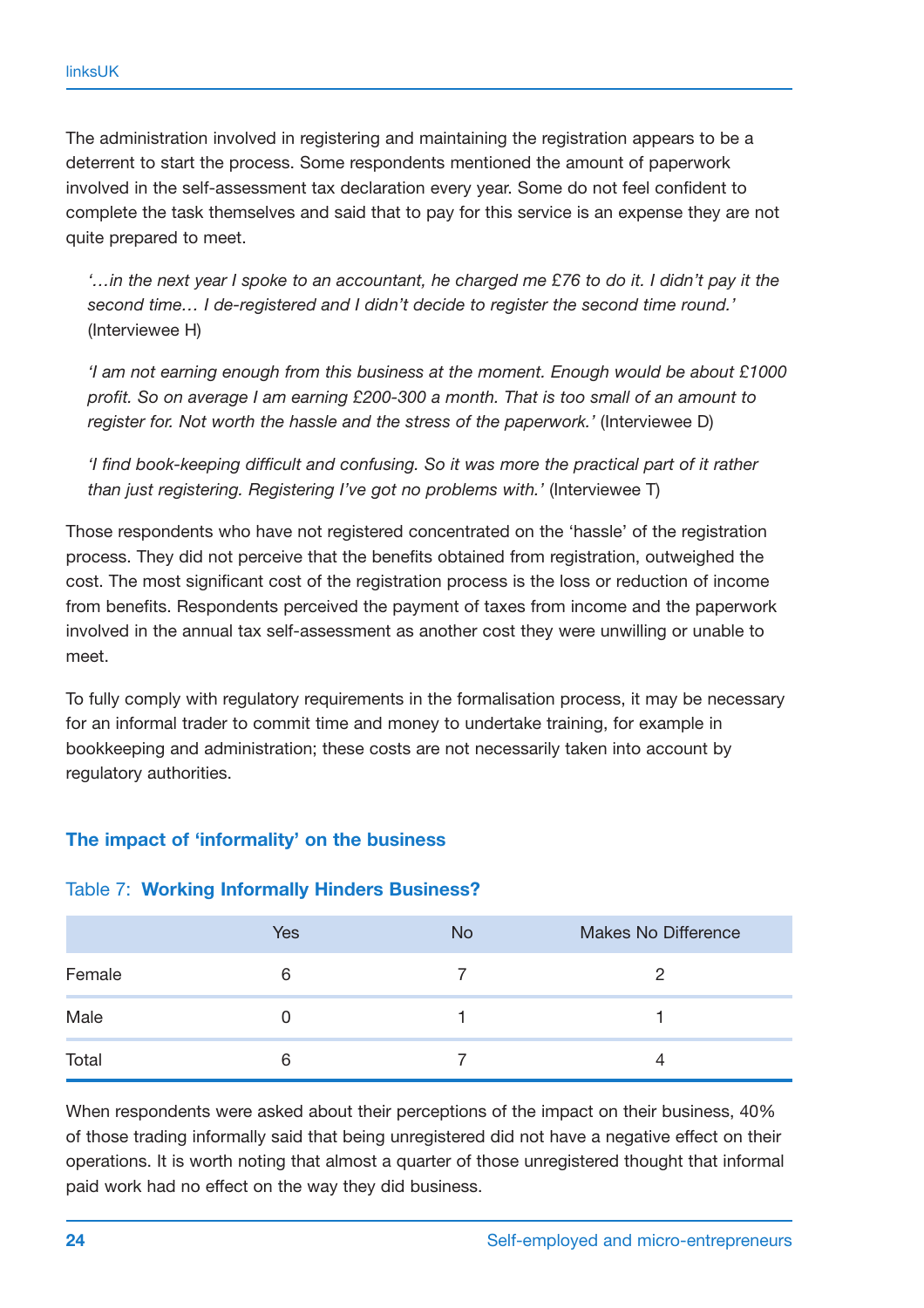The administration involved in registering and maintaining the registration appears to be a deterrent to start the process. Some respondents mentioned the amount of paperwork involved in the self-assessment tax declaration every year. Some do not feel confident to complete the task themselves and said that to pay for this service is an expense they are not quite prepared to meet.

*'…in the next year I spoke to an accountant, he charged me £76 to do it. I didn't pay it the second time… I de-registered and I didn't decide to register the second time round.'* (Interviewee H)

*'I am not earning enough from this business at the moment. Enough would be about £1000 profit. So on average I am earning £200-300 a month. That is too small of an amount to register for. Not worth the hassle and the stress of the paperwork.'* (Interviewee D)

*'I find book-keeping difficult and confusing. So it was more the practical part of it rather than just registering. Registering I've got no problems with.'* (Interviewee T)

Those respondents who have not registered concentrated on the 'hassle' of the registration process. They did not perceive that the benefits obtained from registration, outweighed the cost. The most significant cost of the registration process is the loss or reduction of income from benefits. Respondents perceived the payment of taxes from income and the paperwork involved in the annual tax self-assessment as another cost they were unwilling or unable to meet.

To fully comply with regulatory requirements in the formalisation process, it may be necessary for an informal trader to commit time and money to undertake training, for example in bookkeeping and administration; these costs are not necessarily taken into account by regulatory authorities.

#### **The impact of 'informality' on the business**

#### Table 7: **Working Informally Hinders Business?**

|        | <b>Yes</b> | <b>No</b> | <b>Makes No Difference</b> |
|--------|------------|-----------|----------------------------|
| Female | 6          |           |                            |
| Male   |            |           |                            |
| Total  | 6          |           |                            |

When respondents were asked about their perceptions of the impact on their business, 40% of those trading informally said that being unregistered did not have a negative effect on their operations. It is worth noting that almost a quarter of those unregistered thought that informal paid work had no effect on the way they did business.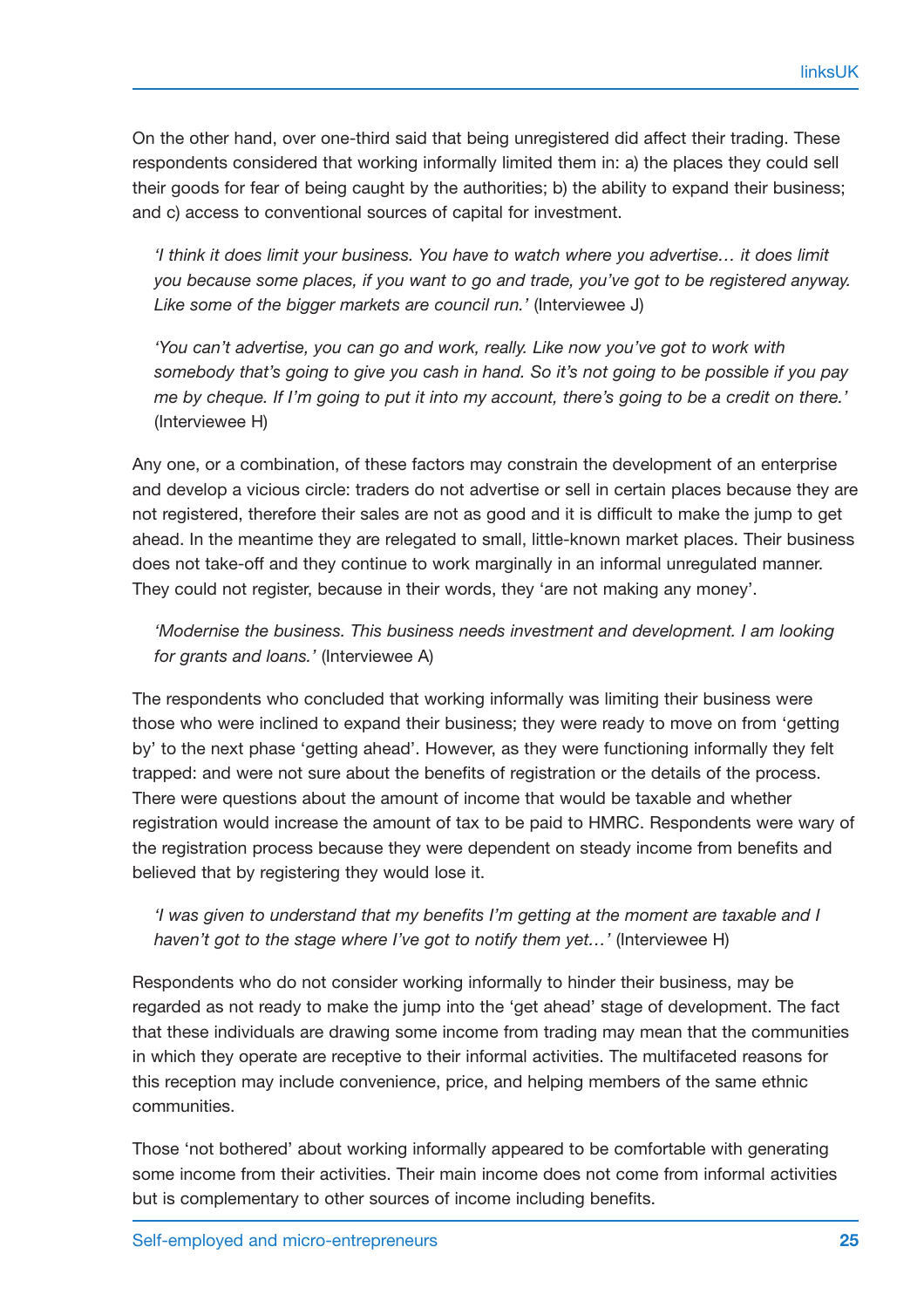On the other hand, over one-third said that being unregistered did affect their trading. These respondents considered that working informally limited them in: a) the places they could sell their goods for fear of being caught by the authorities; b) the ability to expand their business; and c) access to conventional sources of capital for investment.

*'I think it does limit your business. You have to watch where you advertise… it does limit you because some places, if you want to go and trade, you've got to be registered anyway. Like some of the bigger markets are council run.'* (Interviewee J)

*'You can't advertise, you can go and work, really. Like now you've got to work with somebody that's going to give you cash in hand. So it's not going to be possible if you pay me by cheque. If I'm going to put it into my account, there's going to be a credit on there.'* (Interviewee H)

Any one, or a combination, of these factors may constrain the development of an enterprise and develop a vicious circle: traders do not advertise or sell in certain places because they are not registered, therefore their sales are not as good and it is difficult to make the jump to get ahead. In the meantime they are relegated to small, little-known market places. Their business does not take-off and they continue to work marginally in an informal unregulated manner. They could not register, because in their words, they 'are not making any money'.

*'Modernise the business. This business needs investment and development. I am looking for grants and loans.'* (Interviewee A)

The respondents who concluded that working informally was limiting their business were those who were inclined to expand their business; they were ready to move on from 'getting by' to the next phase 'getting ahead'. However, as they were functioning informally they felt trapped: and were not sure about the benefits of registration or the details of the process. There were questions about the amount of income that would be taxable and whether registration would increase the amount of tax to be paid to HMRC. Respondents were wary of the registration process because they were dependent on steady income from benefits and believed that by registering they would lose it.

*'I was given to understand that my benefits I'm getting at the moment are taxable and I haven't got to the stage where I've got to notify them yet…'* (Interviewee H)

Respondents who do not consider working informally to hinder their business, may be regarded as not ready to make the jump into the 'get ahead' stage of development. The fact that these individuals are drawing some income from trading may mean that the communities in which they operate are receptive to their informal activities. The multifaceted reasons for this reception may include convenience, price, and helping members of the same ethnic communities.

Those 'not bothered' about working informally appeared to be comfortable with generating some income from their activities. Their main income does not come from informal activities but is complementary to other sources of income including benefits.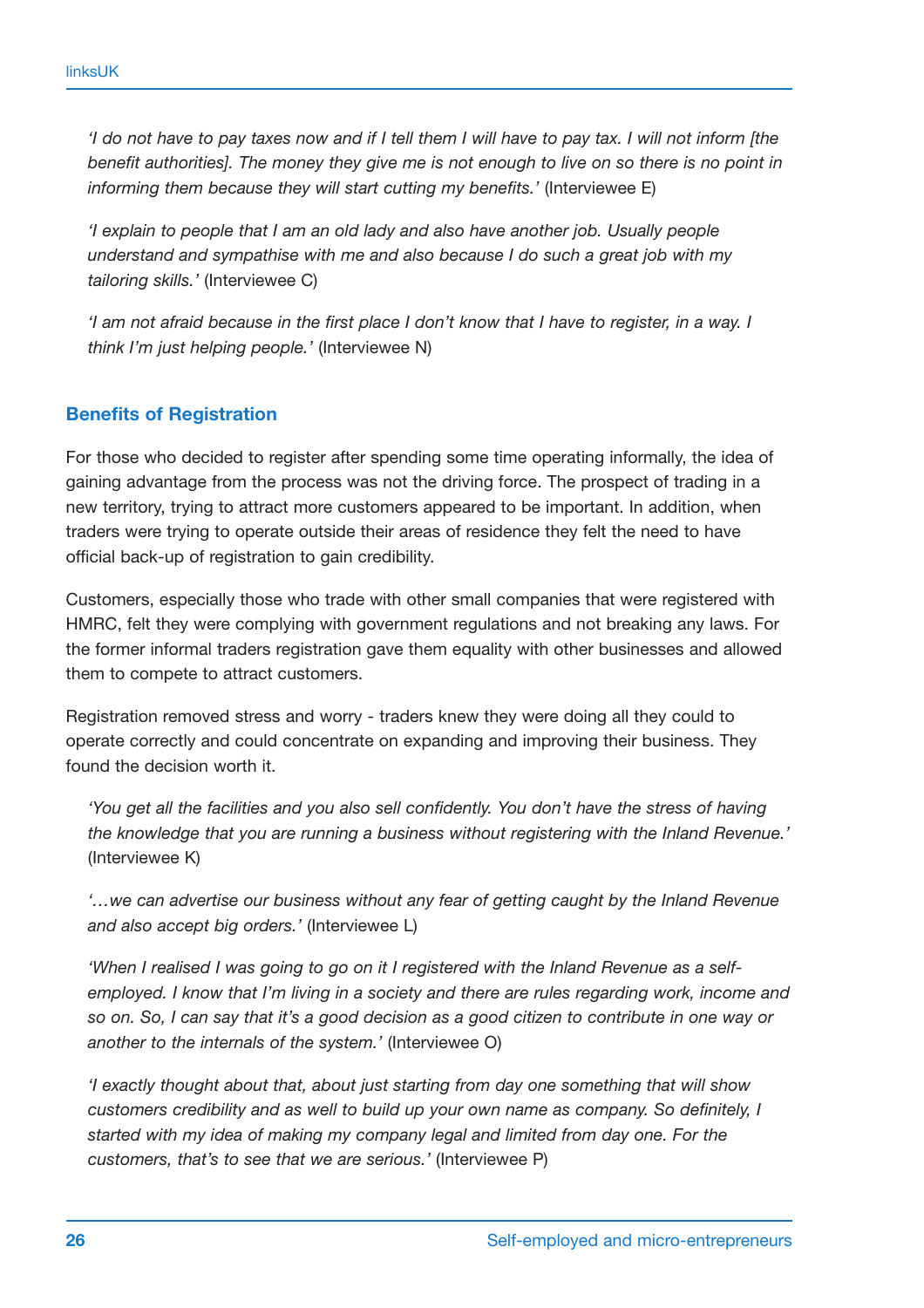*'I do not have to pay taxes now and if I tell them I will have to pay tax. I will not inform [the benefit authorities]. The money they give me is not enough to live on so there is no point in informing them because they will start cutting my benefits.'* (Interviewee E)

*'I explain to people that I am an old lady and also have another job. Usually people understand and sympathise with me and also because I do such a great job with my tailoring skills.'* (Interviewee C)

*'I am not afraid because in the first place I don't know that I have to register, in a way. I think I'm just helping people.'* (Interviewee N)

## **Benefits of Registration**

For those who decided to register after spending some time operating informally, the idea of gaining advantage from the process was not the driving force. The prospect of trading in a new territory, trying to attract more customers appeared to be important. In addition, when traders were trying to operate outside their areas of residence they felt the need to have official back-up of registration to gain credibility.

Customers, especially those who trade with other small companies that were registered with HMRC, felt they were complying with government regulations and not breaking any laws. For the former informal traders registration gave them equality with other businesses and allowed them to compete to attract customers.

Registration removed stress and worry - traders knew they were doing all they could to operate correctly and could concentrate on expanding and improving their business. They found the decision worth it.

*'You get all the facilities and you also sell confidently. You don't have the stress of having the knowledge that you are running a business without registering with the Inland Revenue.'* (Interviewee K)

*'…we can advertise our business without any fear of getting caught by the Inland Revenue and also accept big orders.'* (Interviewee L)

*'When I realised I was going to go on it I registered with the Inland Revenue as a selfemployed. I know that I'm living in a society and there are rules regarding work, income and so on. So, I can say that it's a good decision as a good citizen to contribute in one way or another to the internals of the system.'* (Interviewee O)

*'I exactly thought about that, about just starting from day one something that will show customers credibility and as well to build up your own name as company. So definitely, I started with my idea of making my company legal and limited from day one. For the customers, that's to see that we are serious.'* (Interviewee P)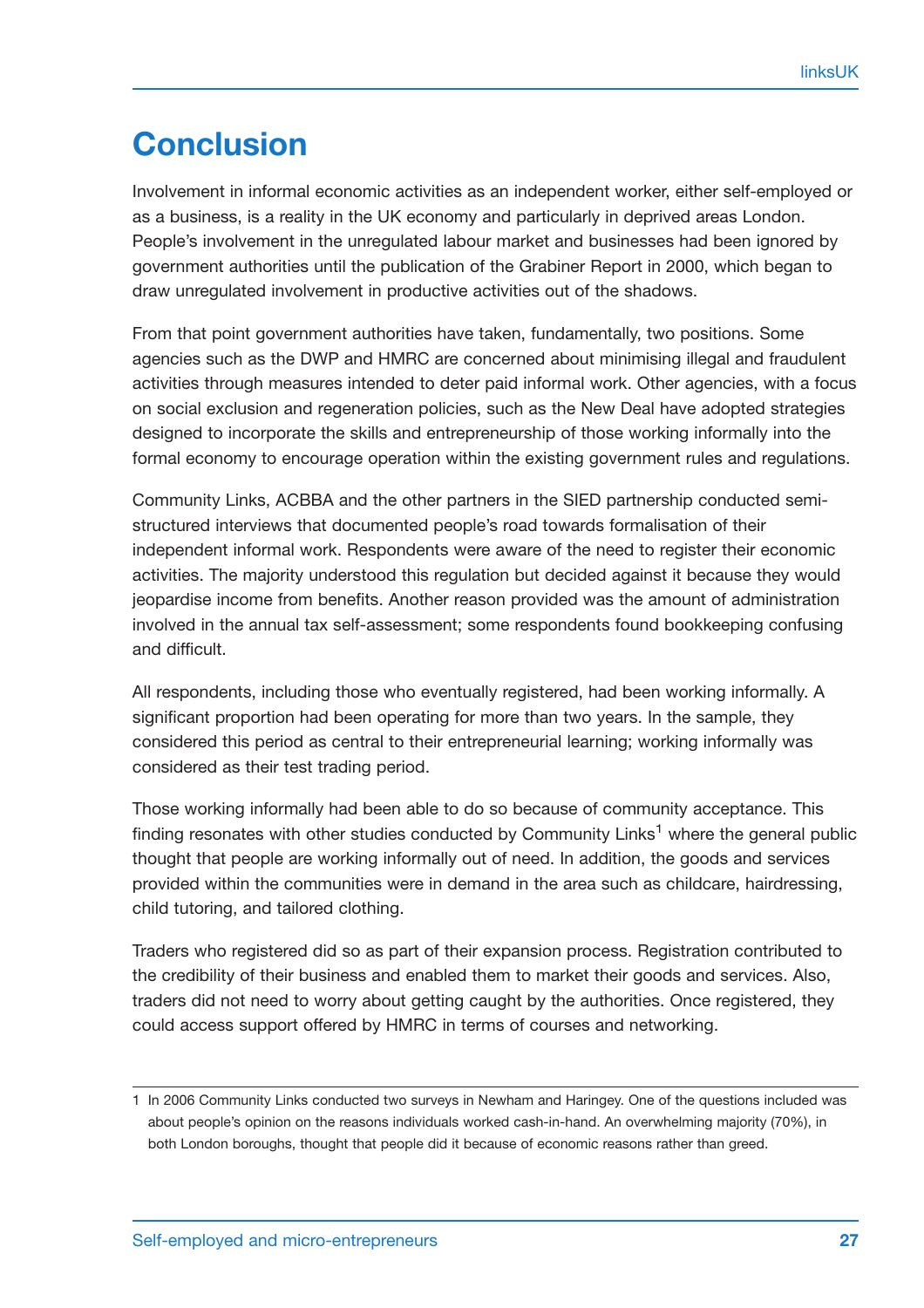# **Conclusion**

Involvement in informal economic activities as an independent worker, either self-employed or as a business, is a reality in the UK economy and particularly in deprived areas London. People's involvement in the unregulated labour market and businesses had been ignored by government authorities until the publication of the Grabiner Report in 2000, which began to draw unregulated involvement in productive activities out of the shadows.

From that point government authorities have taken, fundamentally, two positions. Some agencies such as the DWP and HMRC are concerned about minimising illegal and fraudulent activities through measures intended to deter paid informal work. Other agencies, with a focus on social exclusion and regeneration policies, such as the New Deal have adopted strategies designed to incorporate the skills and entrepreneurship of those working informally into the formal economy to encourage operation within the existing government rules and regulations.

Community Links, ACBBA and the other partners in the SIED partnership conducted semistructured interviews that documented people's road towards formalisation of their independent informal work. Respondents were aware of the need to register their economic activities. The majority understood this regulation but decided against it because they would jeopardise income from benefits. Another reason provided was the amount of administration involved in the annual tax self-assessment; some respondents found bookkeeping confusing and difficult.

All respondents, including those who eventually registered, had been working informally. A significant proportion had been operating for more than two years. In the sample, they considered this period as central to their entrepreneurial learning; working informally was considered as their test trading period.

Those working informally had been able to do so because of community acceptance. This finding resonates with other studies conducted by Community Links<sup>1</sup> where the general public thought that people are working informally out of need. In addition, the goods and services provided within the communities were in demand in the area such as childcare, hairdressing, child tutoring, and tailored clothing.

Traders who registered did so as part of their expansion process. Registration contributed to the credibility of their business and enabled them to market their goods and services. Also, traders did not need to worry about getting caught by the authorities. Once registered, they could access support offered by HMRC in terms of courses and networking.

<sup>1</sup> In 2006 Community Links conducted two surveys in Newham and Haringey. One of the questions included was about people's opinion on the reasons individuals worked cash-in-hand. An overwhelming majority (70%), in both London boroughs, thought that people did it because of economic reasons rather than greed.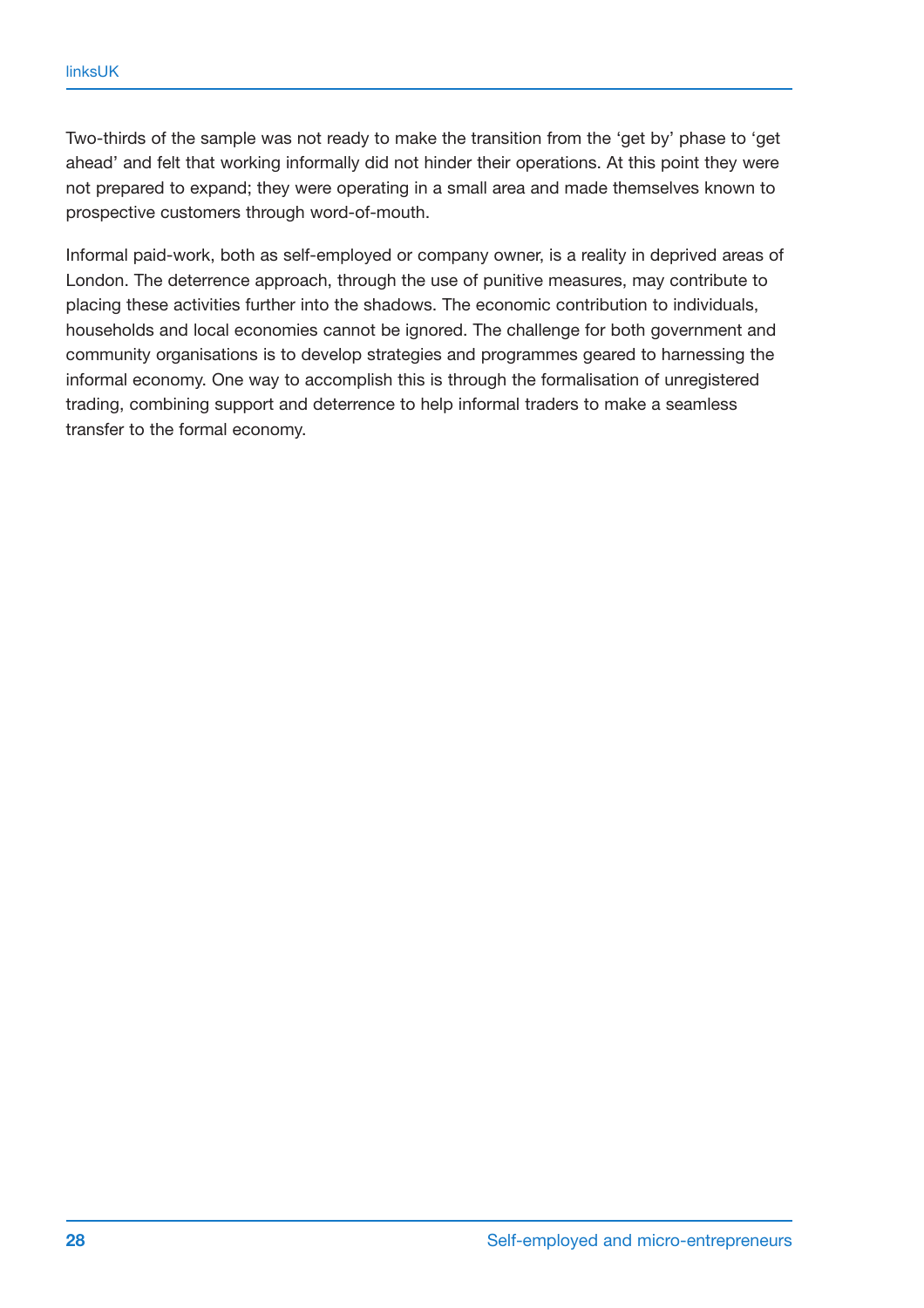Two-thirds of the sample was not ready to make the transition from the 'get by' phase to 'get ahead' and felt that working informally did not hinder their operations. At this point they were not prepared to expand; they were operating in a small area and made themselves known to prospective customers through word-of-mouth.

Informal paid-work, both as self-employed or company owner, is a reality in deprived areas of London. The deterrence approach, through the use of punitive measures, may contribute to placing these activities further into the shadows. The economic contribution to individuals, households and local economies cannot be ignored. The challenge for both government and community organisations is to develop strategies and programmes geared to harnessing the informal economy. One way to accomplish this is through the formalisation of unregistered trading, combining support and deterrence to help informal traders to make a seamless transfer to the formal economy.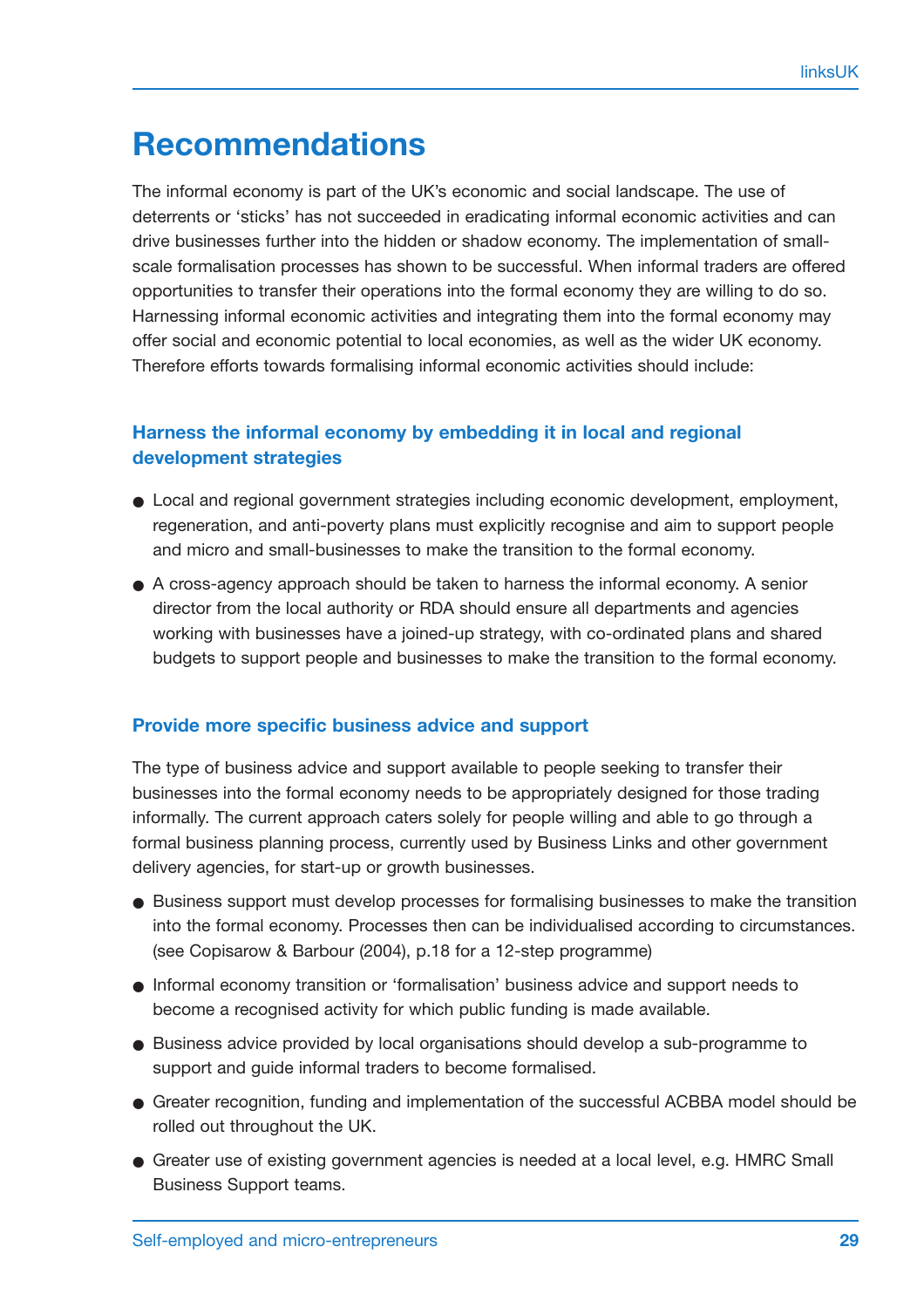# **Recommendations**

The informal economy is part of the UK's economic and social landscape. The use of deterrents or 'sticks' has not succeeded in eradicating informal economic activities and can drive businesses further into the hidden or shadow economy. The implementation of smallscale formalisation processes has shown to be successful. When informal traders are offered opportunities to transfer their operations into the formal economy they are willing to do so. Harnessing informal economic activities and integrating them into the formal economy may offer social and economic potential to local economies, as well as the wider UK economy. Therefore efforts towards formalising informal economic activities should include:

## **Harness the informal economy by embedding it in local and regional development strategies**

- Local and regional government strategies including economic development, employment, regeneration, and anti-poverty plans must explicitly recognise and aim to support people and micro and small-businesses to make the transition to the formal economy.
- A cross-agency approach should be taken to harness the informal economy. A senior director from the local authority or RDA should ensure all departments and agencies working with businesses have a joined-up strategy, with co-ordinated plans and shared budgets to support people and businesses to make the transition to the formal economy.

## **Provide more specific business advice and support**

The type of business advice and support available to people seeking to transfer their businesses into the formal economy needs to be appropriately designed for those trading informally. The current approach caters solely for people willing and able to go through a formal business planning process, currently used by Business Links and other government delivery agencies, for start-up or growth businesses.

- Business support must develop processes for formalising businesses to make the transition into the formal economy. Processes then can be individualised according to circumstances. (see Copisarow & Barbour (2004), p.18 for a 12-step programme)
- Informal economy transition or 'formalisation' business advice and support needs to become a recognised activity for which public funding is made available.
- Business advice provided by local organisations should develop a sub-programme to support and guide informal traders to become formalised.
- Greater recognition, funding and implementation of the successful ACBBA model should be rolled out throughout the UK.
- Greater use of existing government agencies is needed at a local level, e.g. HMRC Small Business Support teams.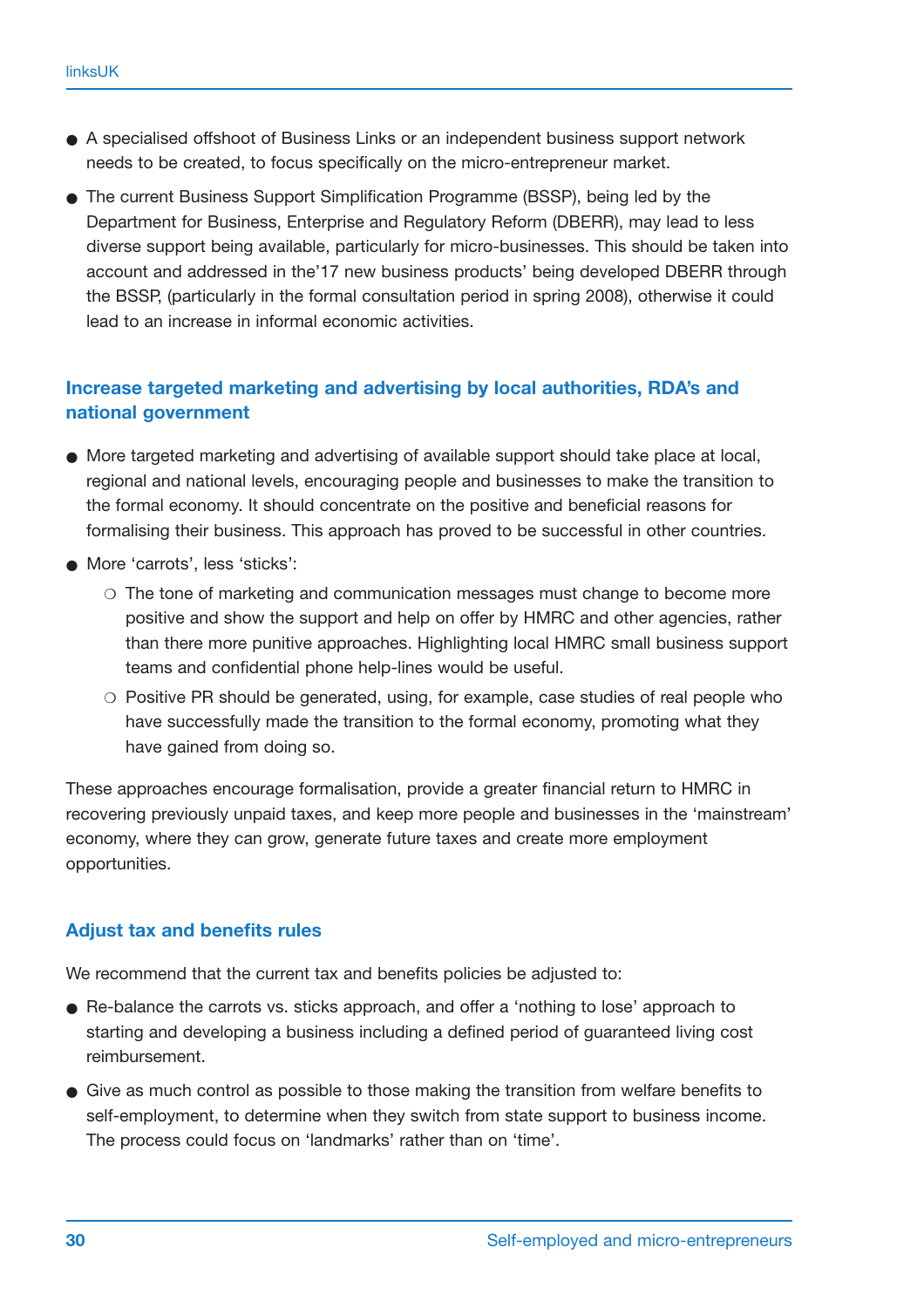- A specialised offshoot of Business Links or an independent business support network needs to be created, to focus specifically on the micro-entrepreneur market.
- The current Business Support Simplification Programme (BSSP), being led by the Department for Business, Enterprise and Regulatory Reform (DBERR), may lead to less diverse support being available, particularly for micro-businesses. This should be taken into account and addressed in the'17 new business products' being developed DBERR through the BSSP, (particularly in the formal consultation period in spring 2008), otherwise it could lead to an increase in informal economic activities.

## **Increase targeted marketing and advertising by local authorities, RDA's and national government**

- More targeted marketing and advertising of available support should take place at local, regional and national levels, encouraging people and businesses to make the transition to the formal economy. It should concentrate on the positive and beneficial reasons for formalising their business. This approach has proved to be successful in other countries.
- More 'carrots', less 'sticks';
	- ❍ The tone of marketing and communication messages must change to become more positive and show the support and help on offer by HMRC and other agencies, rather than there more punitive approaches. Highlighting local HMRC small business support teams and confidential phone help-lines would be useful.
	- ❍ Positive PR should be generated, using, for example, case studies of real people who have successfully made the transition to the formal economy, promoting what they have gained from doing so.

These approaches encourage formalisation, provide a greater financial return to HMRC in recovering previously unpaid taxes, and keep more people and businesses in the 'mainstream' economy, where they can grow, generate future taxes and create more employment opportunities.

## **Adjust tax and benefits rules**

We recommend that the current tax and benefits policies be adjusted to:

- Re-balance the carrots vs. sticks approach, and offer a 'nothing to lose' approach to starting and developing a business including a defined period of guaranteed living cost reimbursement.
- Give as much control as possible to those making the transition from welfare benefits to self-employment, to determine when they switch from state support to business income. The process could focus on 'landmarks' rather than on 'time'.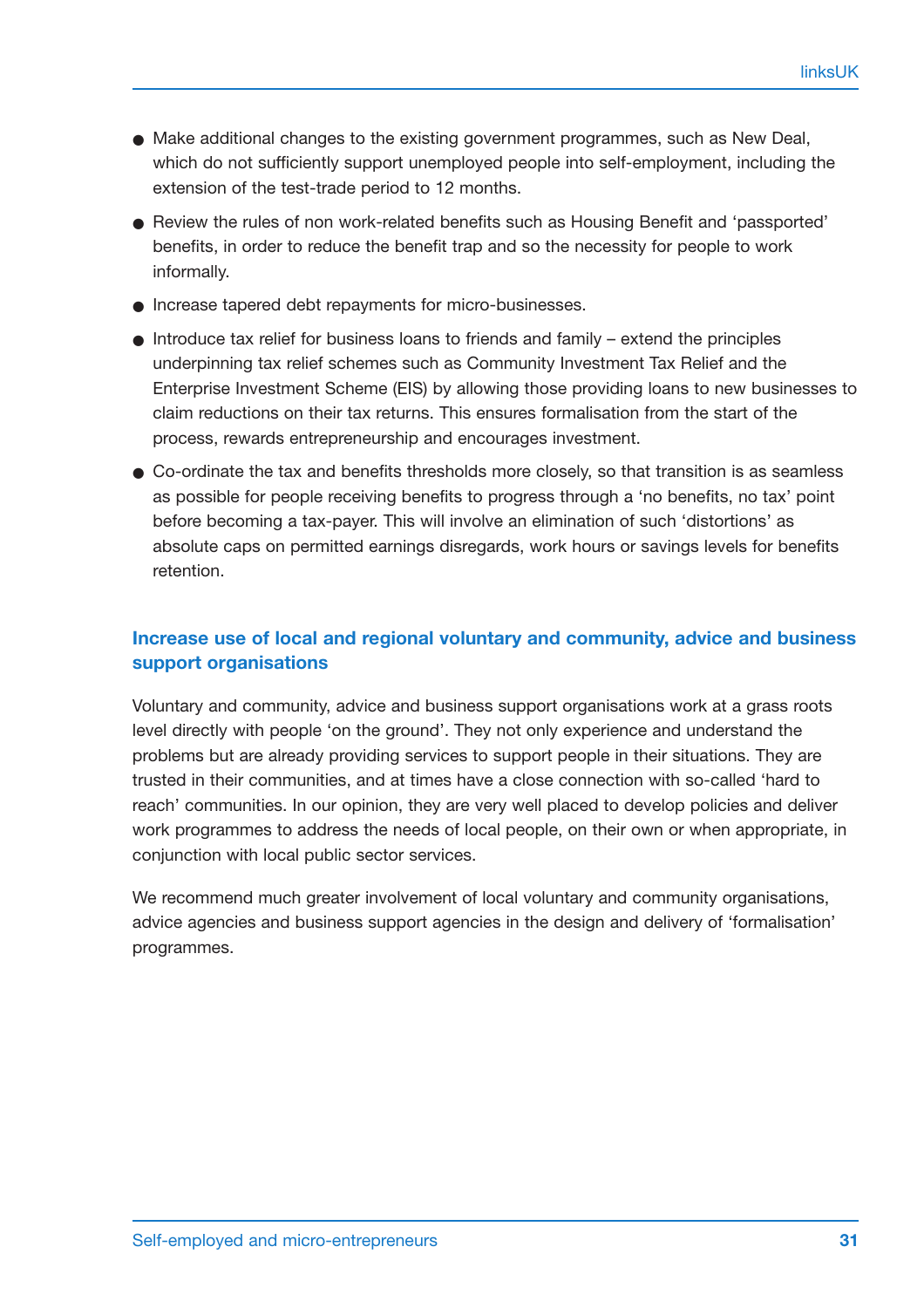- Make additional changes to the existing government programmes, such as New Deal, which do not sufficiently support unemployed people into self-employment, including the extension of the test-trade period to 12 months.
- Review the rules of non work-related benefits such as Housing Benefit and 'passported' benefits, in order to reduce the benefit trap and so the necessity for people to work informally.
- Increase tapered debt repayments for micro-businesses.
- Introduce tax relief for business loans to friends and family extend the principles underpinning tax relief schemes such as Community Investment Tax Relief and the Enterprise Investment Scheme (EIS) by allowing those providing loans to new businesses to claim reductions on their tax returns. This ensures formalisation from the start of the process, rewards entrepreneurship and encourages investment.
- Co-ordinate the tax and benefits thresholds more closely, so that transition is as seamless as possible for people receiving benefits to progress through a 'no benefits, no tax' point before becoming a tax-payer. This will involve an elimination of such 'distortions' as absolute caps on permitted earnings disregards, work hours or savings levels for benefits retention.

## **Increase use of local and regional voluntary and community, advice and business support organisations**

Voluntary and community, advice and business support organisations work at a grass roots level directly with people 'on the ground'. They not only experience and understand the problems but are already providing services to support people in their situations. They are trusted in their communities, and at times have a close connection with so-called 'hard to reach' communities. In our opinion, they are very well placed to develop policies and deliver work programmes to address the needs of local people, on their own or when appropriate, in conjunction with local public sector services.

We recommend much greater involvement of local voluntary and community organisations, advice agencies and business support agencies in the design and delivery of 'formalisation' programmes.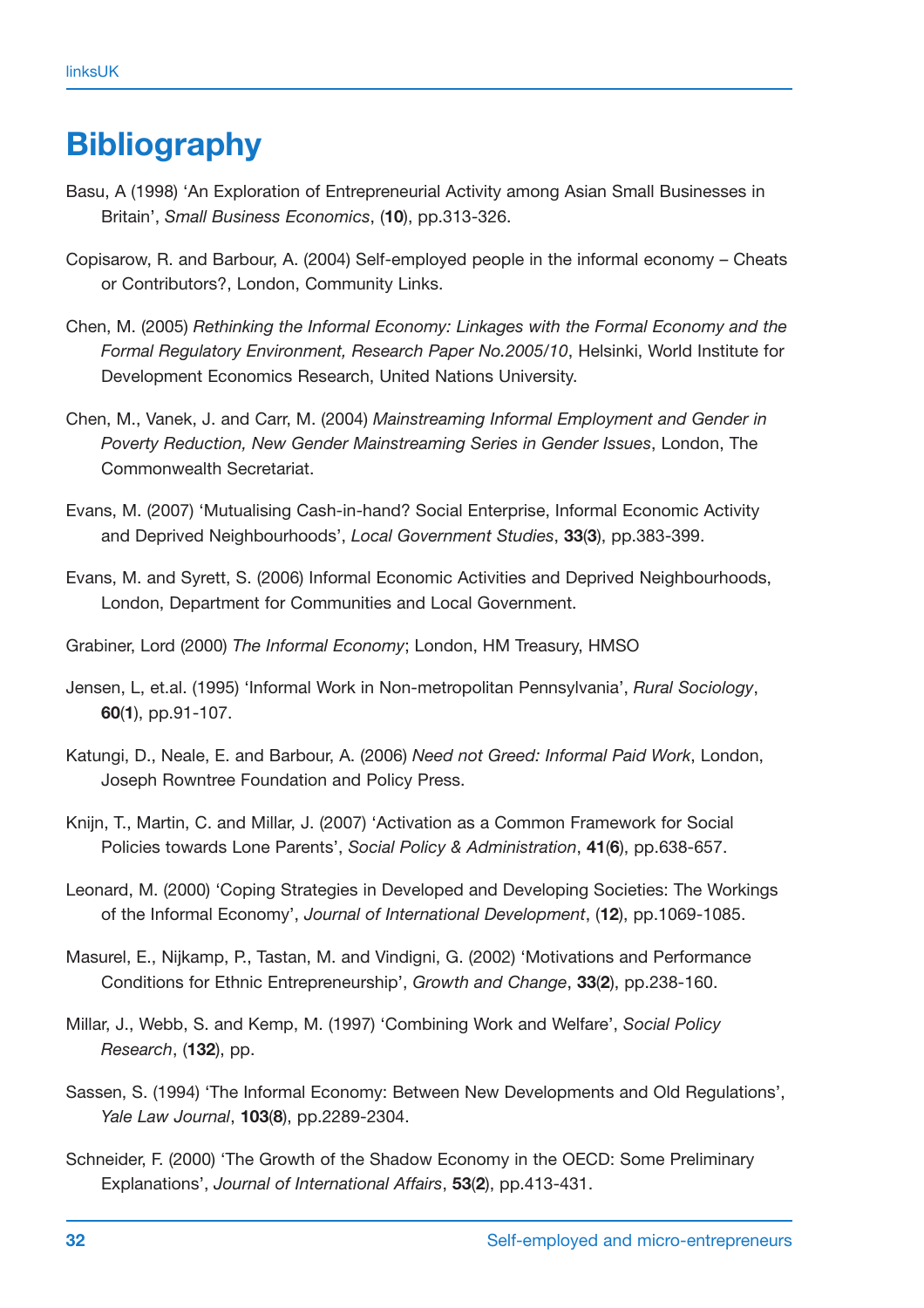# **Bibliography**

- Basu, A (1998) 'An Exploration of Entrepreneurial Activity among Asian Small Businesses in Britain', *Small Business Economics*, (**10**), pp.313-326.
- Copisarow, R. and Barbour, A. (2004) Self-employed people in the informal economy Cheats or Contributors?, London, Community Links.
- Chen, M. (2005) *Rethinking the Informal Economy: Linkages with the Formal Economy and the Formal Regulatory Environment, Research Paper No.2005/10*, Helsinki, World Institute for Development Economics Research, United Nations University.
- Chen, M., Vanek, J. and Carr, M. (2004) *Mainstreaming Informal Employment and Gender in Poverty Reduction, New Gender Mainstreaming Series in Gender Issues*, London, The Commonwealth Secretariat.
- Evans, M. (2007) 'Mutualising Cash-in-hand? Social Enterprise, Informal Economic Activity and Deprived Neighbourhoods', *Local Government Studies*, **33**(**3**), pp.383-399.
- Evans, M. and Syrett, S. (2006) Informal Economic Activities and Deprived Neighbourhoods, London, Department for Communities and Local Government.
- Grabiner, Lord (2000) *The Informal Economy*; London, HM Treasury, HMSO
- Jensen, L, et.al. (1995) 'Informal Work in Non-metropolitan Pennsylvania', *Rural Sociology*, **60**(**1**), pp.91-107.
- Katungi, D., Neale, E. and Barbour, A. (2006) *Need not Greed: Informal Paid Work*, London, Joseph Rowntree Foundation and Policy Press.
- Knijn, T., Martin, C. and Millar, J. (2007) 'Activation as a Common Framework for Social Policies towards Lone Parents', *Social Policy & Administration*, **41**(**6**), pp.638-657.
- Leonard, M. (2000) 'Coping Strategies in Developed and Developing Societies: The Workings of the Informal Economy', *Journal of International Development*, (**12**), pp.1069-1085.
- Masurel, E., Nijkamp, P., Tastan, M. and Vindigni, G. (2002) 'Motivations and Performance Conditions for Ethnic Entrepreneurship', *Growth and Change*, **33**(**2**), pp.238-160.
- Millar, J., Webb, S. and Kemp, M. (1997) 'Combining Work and Welfare', *Social Policy Research*, (**132**), pp.
- Sassen, S. (1994) 'The Informal Economy: Between New Developments and Old Regulations', *Yale Law Journal*, **103**(**8**), pp.2289-2304.
- Schneider, F. (2000) 'The Growth of the Shadow Economy in the OECD: Some Preliminary Explanations', *Journal of International Affairs*, **53**(**2**), pp.413-431.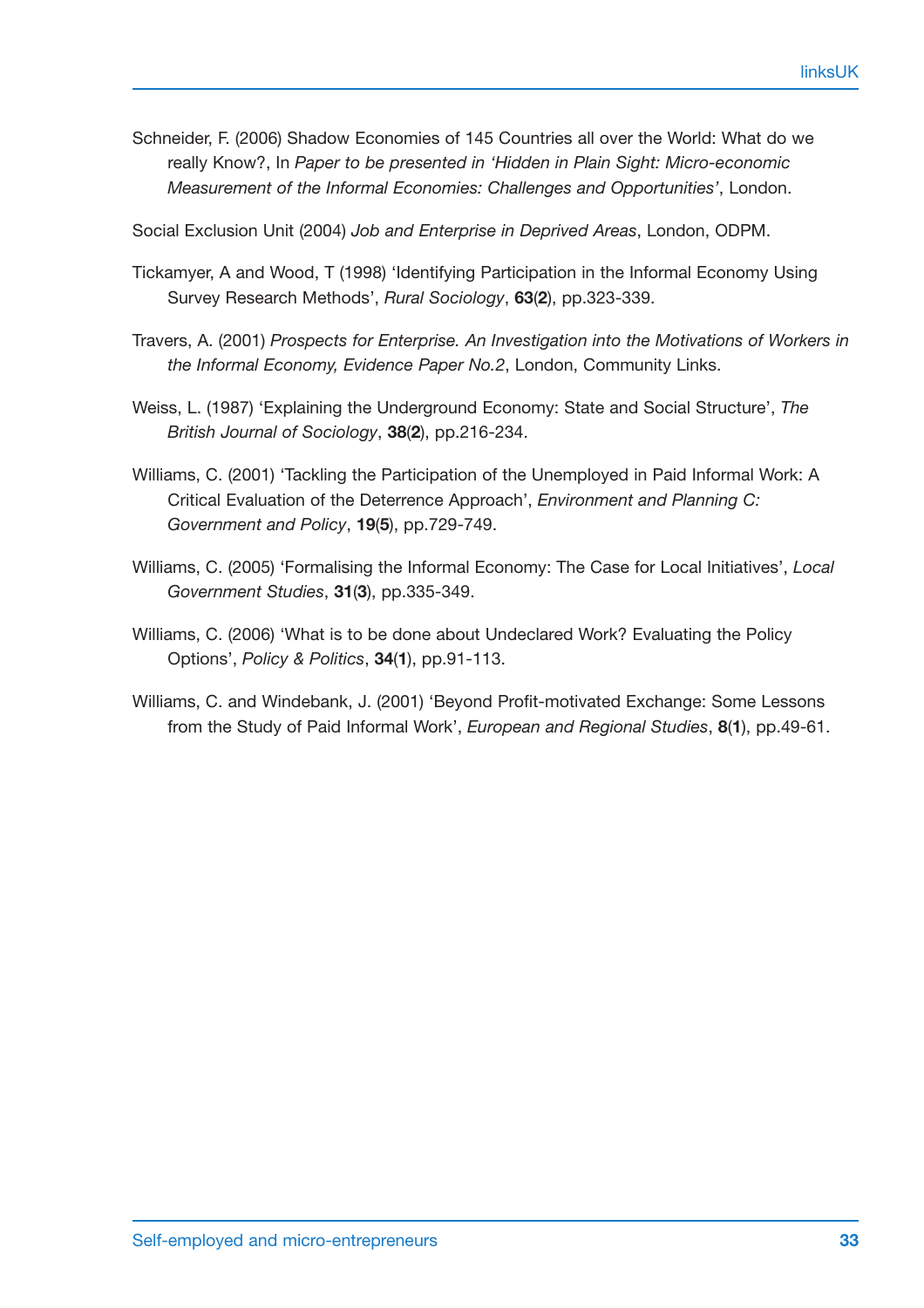- Schneider, F. (2006) Shadow Economies of 145 Countries all over the World: What do we really Know?, In *Paper to be presented in 'Hidden in Plain Sight: Micro-economic Measurement of the Informal Economies: Challenges and Opportunities'*, London.
- Social Exclusion Unit (2004) *Job and Enterprise in Deprived Areas*, London, ODPM.
- Tickamyer, A and Wood, T (1998) 'Identifying Participation in the Informal Economy Using Survey Research Methods', *Rural Sociology*, **63**(**2**), pp.323-339.
- Travers, A. (2001) *Prospects for Enterprise. An Investigation into the Motivations of Workers in the Informal Economy, Evidence Paper No.2*, London, Community Links.
- Weiss, L. (1987) 'Explaining the Underground Economy: State and Social Structure', *The British Journal of Sociology*, **38**(**2**), pp.216-234.
- Williams, C. (2001) 'Tackling the Participation of the Unemployed in Paid Informal Work: A Critical Evaluation of the Deterrence Approach', *Environment and Planning C: Government and Policy*, **19**(**5**), pp.729-749.
- Williams, C. (2005) 'Formalising the Informal Economy: The Case for Local Initiatives', *Local Government Studies*, **31**(**3**), pp.335-349.
- Williams, C. (2006) 'What is to be done about Undeclared Work? Evaluating the Policy Options', *Policy & Politics*, **34**(**1**), pp.91-113.
- Williams, C. and Windebank, J. (2001) 'Beyond Profit-motivated Exchange: Some Lessons from the Study of Paid Informal Work', *European and Regional Studies*, **8**(**1**), pp.49-61.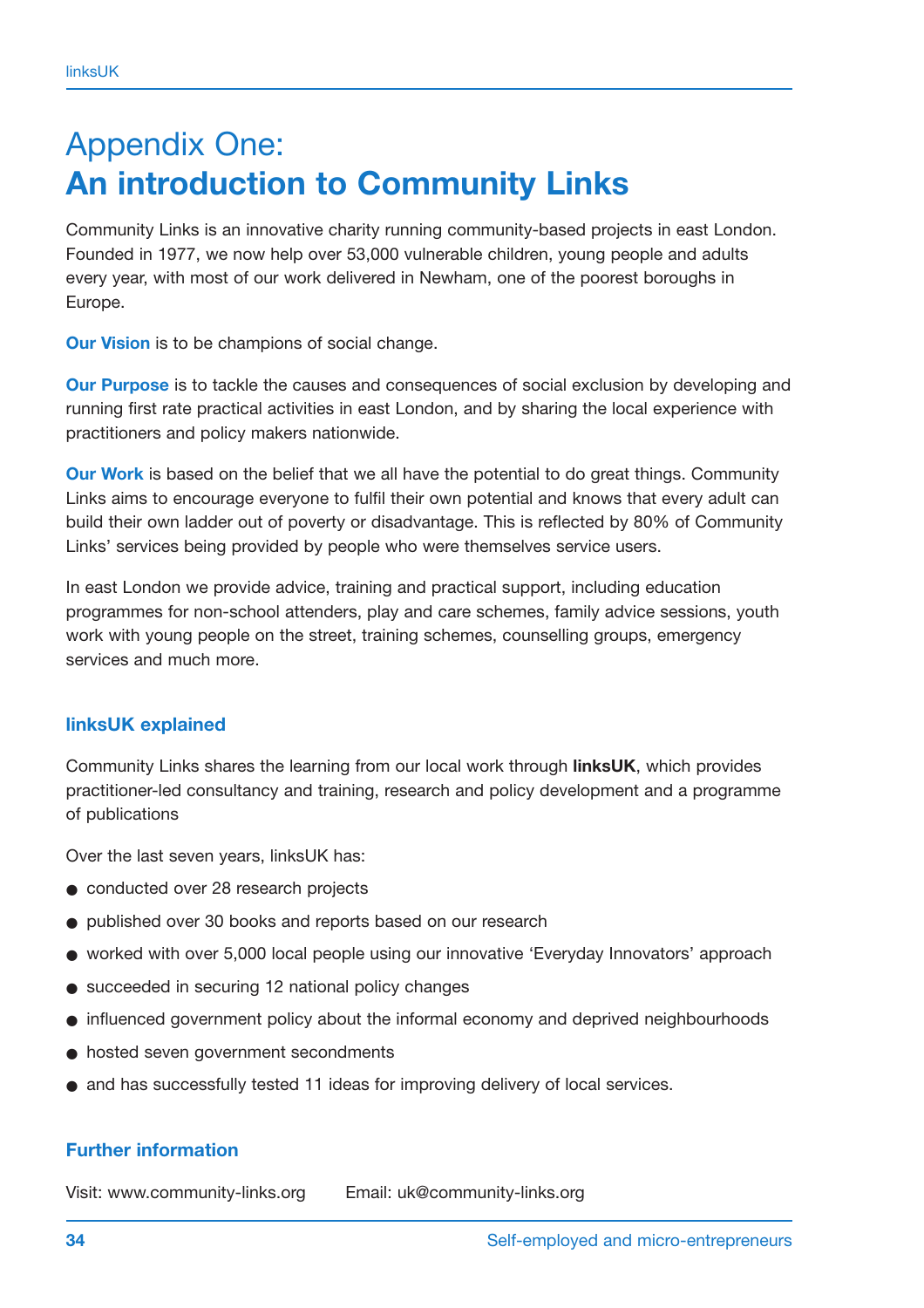# Appendix One: **An introduction to Community Links**

Community Links is an innovative charity running community-based projects in east London. Founded in 1977, we now help over 53,000 vulnerable children, young people and adults every year, with most of our work delivered in Newham, one of the poorest boroughs in Europe.

**Our Vision** is to be champions of social change.

**Our Purpose** is to tackle the causes and consequences of social exclusion by developing and running first rate practical activities in east London, and by sharing the local experience with practitioners and policy makers nationwide.

**Our Work** is based on the belief that we all have the potential to do great things. Community Links aims to encourage everyone to fulfil their own potential and knows that every adult can build their own ladder out of poverty or disadvantage. This is reflected by 80% of Community Links' services being provided by people who were themselves service users.

In east London we provide advice, training and practical support, including education programmes for non-school attenders, play and care schemes, family advice sessions, youth work with young people on the street, training schemes, counselling groups, emergency services and much more.

## **linksUK explained**

Community Links shares the learning from our local work through **linksUK**, which provides practitioner-led consultancy and training, research and policy development and a programme of publications

Over the last seven years, linksUK has:

- conducted over 28 research projects
- published over 30 books and reports based on our research
- worked with over 5,000 local people using our innovative 'Everyday Innovators' approach
- succeeded in securing 12 national policy changes
- influenced government policy about the informal economy and deprived neighbourhoods
- hosted seven government secondments
- and has successfully tested 11 ideas for improving delivery of local services.

## **Further information**

Visit: www.community-links.org Email: uk@community-links.org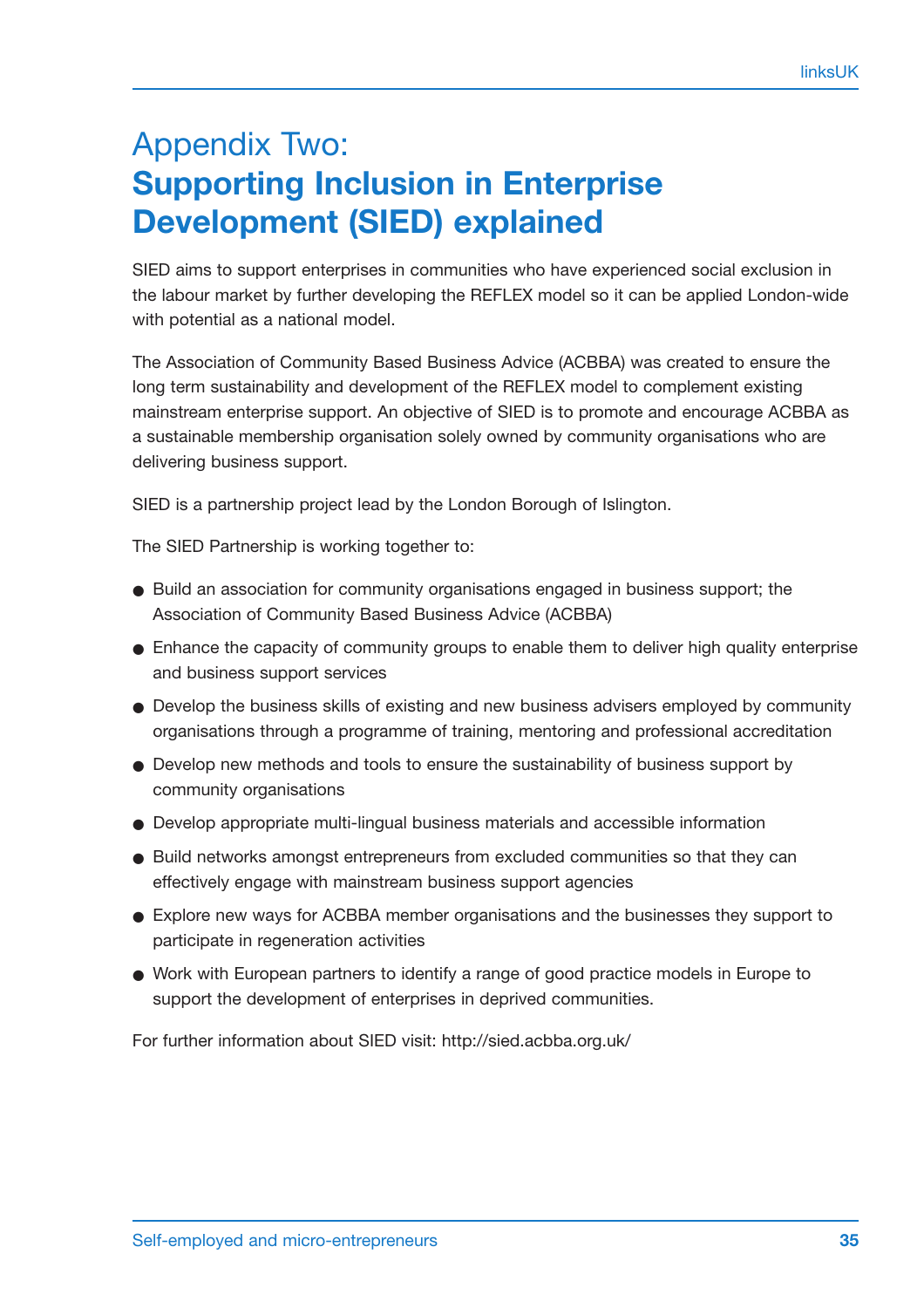# Appendix Two: **Supporting Inclusion in Enterprise Development (SIED) explained**

SIED aims to support enterprises in communities who have experienced social exclusion in the labour market by further developing the REFLEX model so it can be applied London-wide with potential as a national model.

The Association of Community Based Business Advice (ACBBA) was created to ensure the long term sustainability and development of the REFLEX model to complement existing mainstream enterprise support. An objective of SIED is to promote and encourage ACBBA as a sustainable membership organisation solely owned by community organisations who are delivering business support.

SIED is a partnership project lead by the London Borough of Islington.

The SIED Partnership is working together to:

- Build an association for community organisations engaged in business support; the Association of Community Based Business Advice (ACBBA)
- Enhance the capacity of community groups to enable them to deliver high quality enterprise and business support services
- Develop the business skills of existing and new business advisers employed by community organisations through a programme of training, mentoring and professional accreditation
- Develop new methods and tools to ensure the sustainability of business support by community organisations
- Develop appropriate multi-lingual business materials and accessible information
- Build networks amongst entrepreneurs from excluded communities so that they can effectively engage with mainstream business support agencies
- Explore new ways for ACBBA member organisations and the businesses they support to participate in regeneration activities
- Work with European partners to identify a range of good practice models in Europe to support the development of enterprises in deprived communities.

For further information about SIED visit: http://sied.acbba.org.uk/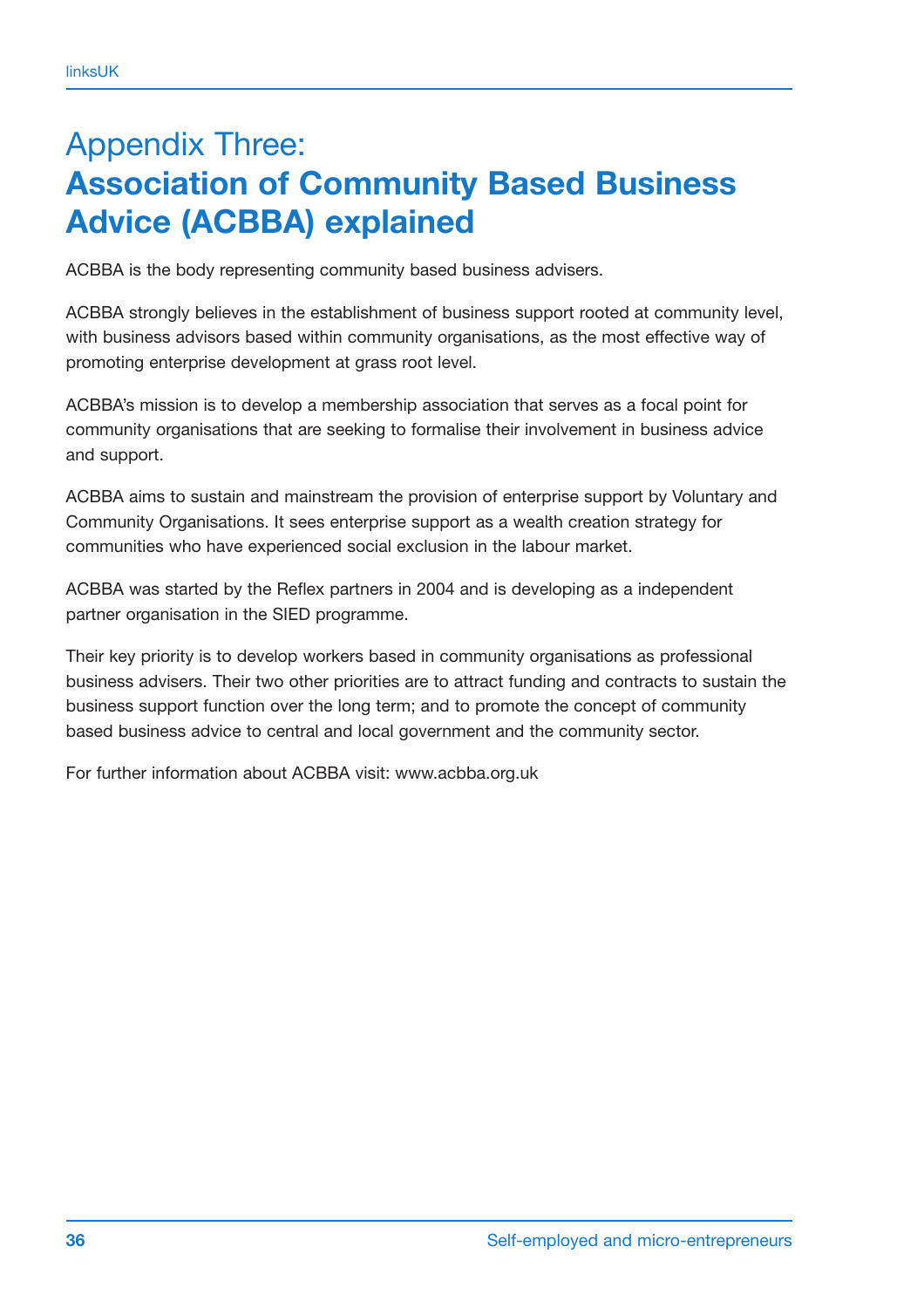# Appendix Three: **Association of Community Based Business Advice (ACBBA) explained**

ACBBA is the body representing community based business advisers.

ACBBA strongly believes in the establishment of business support rooted at community level, with business advisors based within community organisations, as the most effective way of promoting enterprise development at grass root level.

ACBBA's mission is to develop a membership association that serves as a focal point for community organisations that are seeking to formalise their involvement in business advice and support.

ACBBA aims to sustain and mainstream the provision of enterprise support by Voluntary and Community Organisations. It sees enterprise support as a wealth creation strategy for communities who have experienced social exclusion in the labour market.

ACBBA was started by the Reflex partners in 2004 and is developing as a independent partner organisation in the SIED programme.

Their key priority is to develop workers based in community organisations as professional business advisers. Their two other priorities are to attract funding and contracts to sustain the business support function over the long term; and to promote the concept of community based business advice to central and local government and the community sector.

For further information about ACBBA visit: www.acbba.org.uk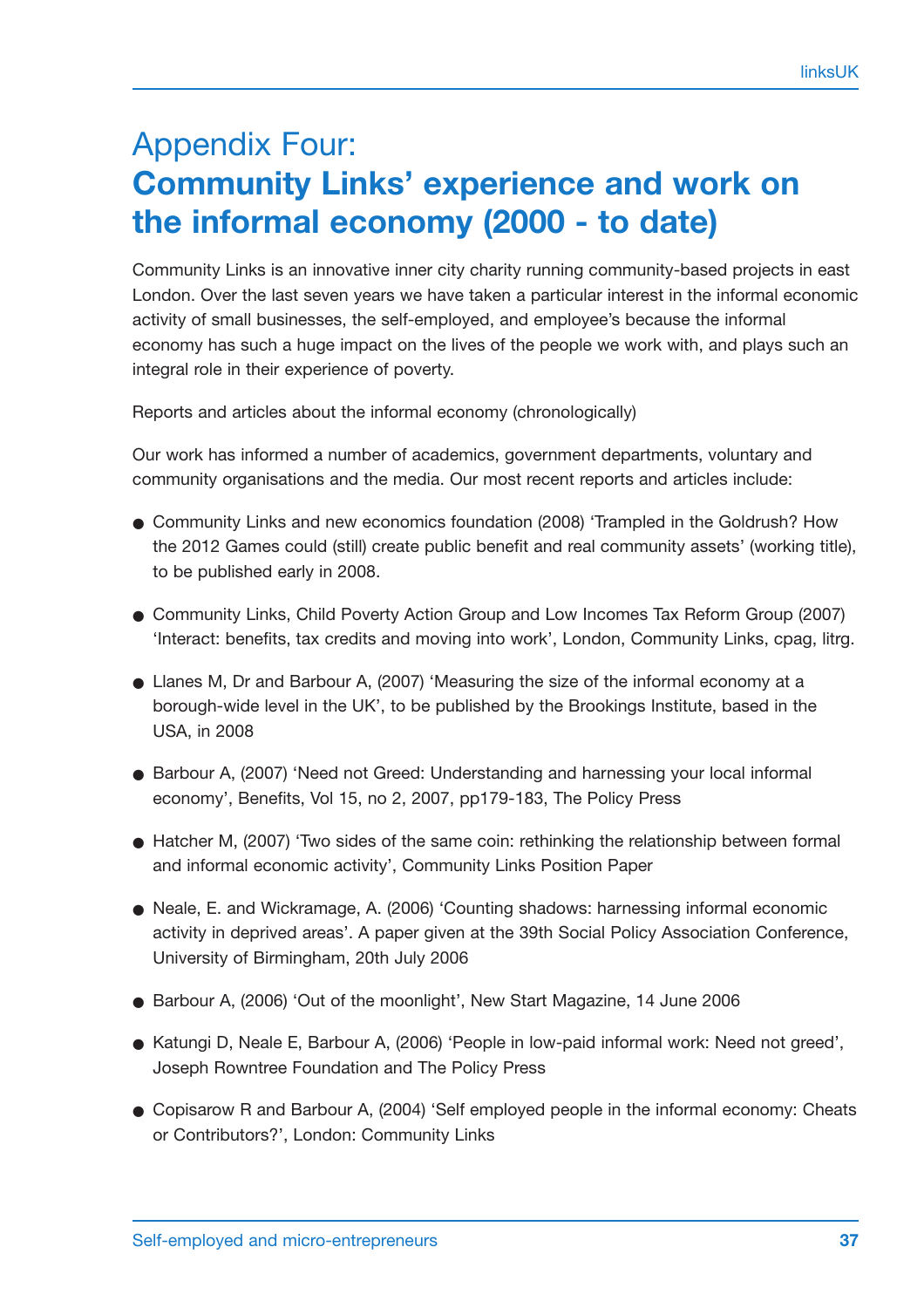# Appendix Four: **Community Links' experience and work on the informal economy (2000 - to date)**

Community Links is an innovative inner city charity running community-based projects in east London. Over the last seven years we have taken a particular interest in the informal economic activity of small businesses, the self-employed, and employee's because the informal economy has such a huge impact on the lives of the people we work with, and plays such an integral role in their experience of poverty.

Reports and articles about the informal economy (chronologically)

Our work has informed a number of academics, government departments, voluntary and community organisations and the media. Our most recent reports and articles include:

- Community Links and new economics foundation (2008) 'Trampled in the Goldrush? How the 2012 Games could (still) create public benefit and real community assets' (working title), to be published early in 2008.
- Community Links, Child Poverty Action Group and Low Incomes Tax Reform Group (2007) 'Interact: benefits, tax credits and moving into work', London, Community Links, cpag, litrg.
- Llanes M, Dr and Barbour A, (2007) 'Measuring the size of the informal economy at a borough-wide level in the UK', to be published by the Brookings Institute, based in the USA, in 2008
- Barbour A, (2007) 'Need not Greed: Understanding and harnessing your local informal economy', Benefits, Vol 15, no 2, 2007, pp179-183, The Policy Press
- Hatcher M, (2007) 'Two sides of the same coin: rethinking the relationship between formal and informal economic activity', Community Links Position Paper
- Neale, E. and Wickramage, A. (2006) 'Counting shadows: harnessing informal economic activity in deprived areas'. A paper given at the 39th Social Policy Association Conference, University of Birmingham, 20th July 2006
- Barbour A, (2006) 'Out of the moonlight', New Start Magazine, 14 June 2006
- Katungi D, Neale E, Barbour A, (2006) 'People in low-paid informal work: Need not greed', Joseph Rowntree Foundation and The Policy Press
- Copisarow R and Barbour A, (2004) 'Self employed people in the informal economy: Cheats or Contributors?', London: Community Links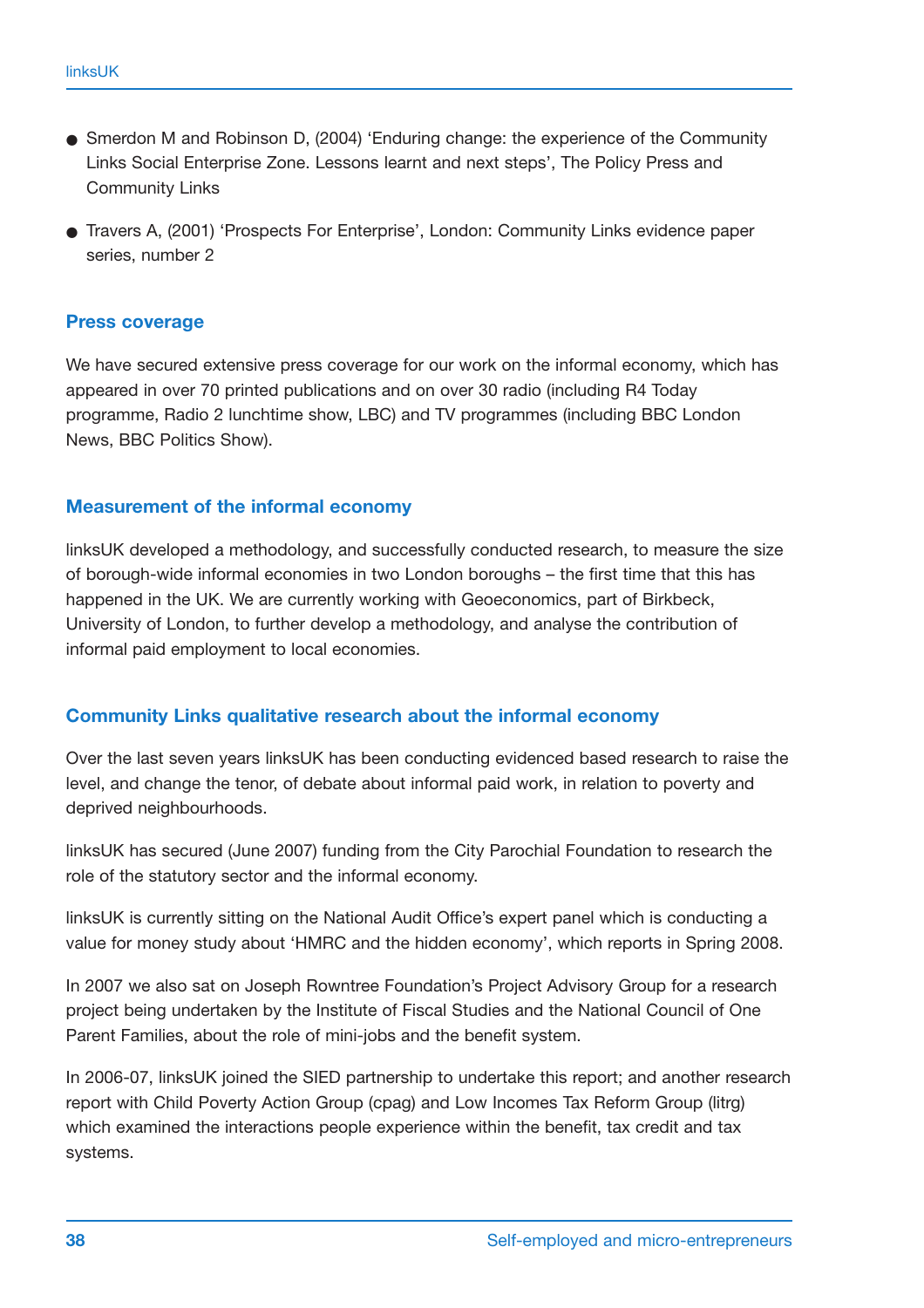- Smerdon M and Robinson D, (2004) 'Enduring change: the experience of the Community Links Social Enterprise Zone. Lessons learnt and next steps', The Policy Press and Community Links
- Travers A, (2001) 'Prospects For Enterprise', London: Community Links evidence paper series, number 2

#### **Press coverage**

We have secured extensive press coverage for our work on the informal economy, which has appeared in over 70 printed publications and on over 30 radio (including R4 Today programme, Radio 2 lunchtime show, LBC) and TV programmes (including BBC London News, BBC Politics Show).

#### **Measurement of the informal economy**

linksUK developed a methodology, and successfully conducted research, to measure the size of borough-wide informal economies in two London boroughs – the first time that this has happened in the UK. We are currently working with Geoeconomics, part of Birkbeck, University of London, to further develop a methodology, and analyse the contribution of informal paid employment to local economies.

## **Community Links qualitative research about the informal economy**

Over the last seven years linksUK has been conducting evidenced based research to raise the level, and change the tenor, of debate about informal paid work, in relation to poverty and deprived neighbourhoods.

linksUK has secured (June 2007) funding from the City Parochial Foundation to research the role of the statutory sector and the informal economy.

linksUK is currently sitting on the National Audit Office's expert panel which is conducting a value for money study about 'HMRC and the hidden economy', which reports in Spring 2008.

In 2007 we also sat on Joseph Rowntree Foundation's Project Advisory Group for a research project being undertaken by the Institute of Fiscal Studies and the National Council of One Parent Families, about the role of mini-jobs and the benefit system.

In 2006-07, linksUK joined the SIED partnership to undertake this report; and another research report with Child Poverty Action Group (cpag) and Low Incomes Tax Reform Group (litrg) which examined the interactions people experience within the benefit, tax credit and tax systems.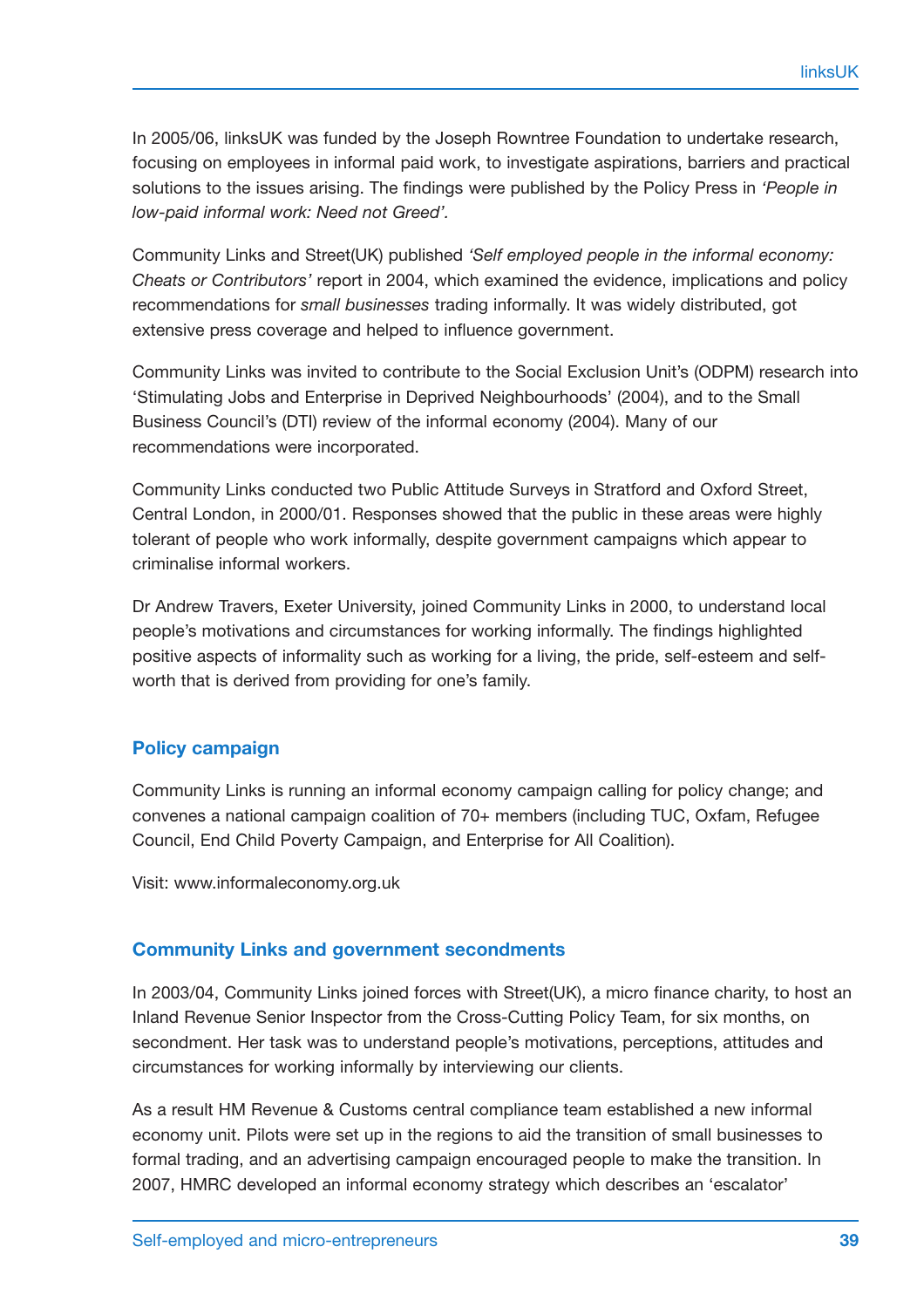In 2005/06, linksUK was funded by the Joseph Rowntree Foundation to undertake research, focusing on employees in informal paid work, to investigate aspirations, barriers and practical solutions to the issues arising. The findings were published by the Policy Press in *'People in low-paid informal work: Need not Greed'.* 

Community Links and Street(UK) published *'Self employed people in the informal economy: Cheats or Contributors'* report in 2004, which examined the evidence, implications and policy recommendations for *small businesses* trading informally. It was widely distributed, got extensive press coverage and helped to influence government.

Community Links was invited to contribute to the Social Exclusion Unit's (ODPM) research into 'Stimulating Jobs and Enterprise in Deprived Neighbourhoods' (2004), and to the Small Business Council's (DTI) review of the informal economy (2004). Many of our recommendations were incorporated.

Community Links conducted two Public Attitude Surveys in Stratford and Oxford Street, Central London, in 2000/01. Responses showed that the public in these areas were highly tolerant of people who work informally, despite government campaigns which appear to criminalise informal workers.

Dr Andrew Travers, Exeter University, joined Community Links in 2000, to understand local people's motivations and circumstances for working informally. The findings highlighted positive aspects of informality such as working for a living, the pride, self-esteem and selfworth that is derived from providing for one's family.

## **Policy campaign**

Community Links is running an informal economy campaign calling for policy change; and convenes a national campaign coalition of 70+ members (including TUC, Oxfam, Refugee Council, End Child Poverty Campaign, and Enterprise for All Coalition).

Visit: www.informaleconomy.org.uk

## **Community Links and government secondments**

In 2003/04, Community Links joined forces with Street(UK), a micro finance charity, to host an Inland Revenue Senior Inspector from the Cross-Cutting Policy Team, for six months, on secondment. Her task was to understand people's motivations, perceptions, attitudes and circumstances for working informally by interviewing our clients.

As a result HM Revenue & Customs central compliance team established a new informal economy unit. Pilots were set up in the regions to aid the transition of small businesses to formal trading, and an advertising campaign encouraged people to make the transition. In 2007, HMRC developed an informal economy strategy which describes an 'escalator'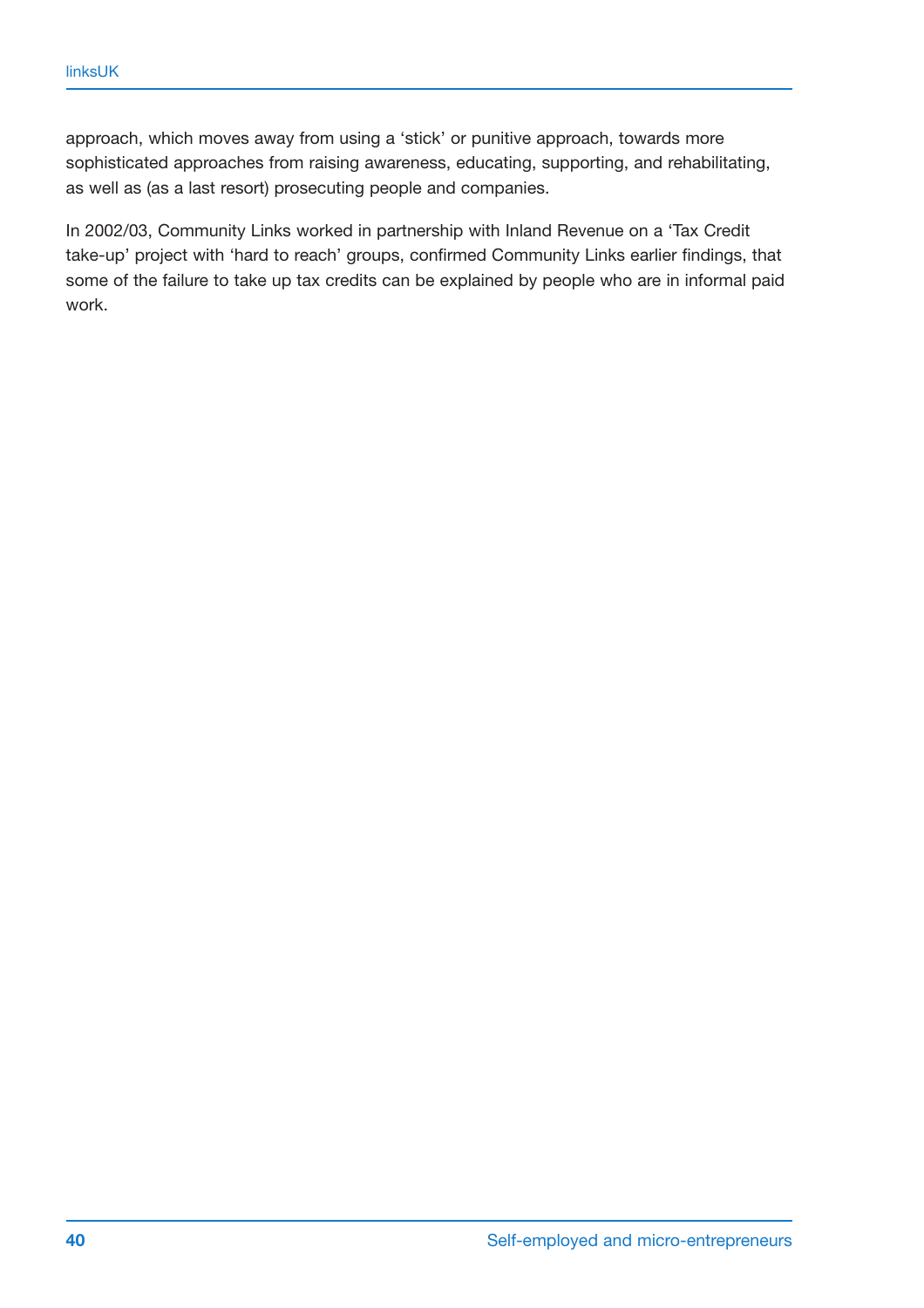approach, which moves away from using a 'stick' or punitive approach, towards more sophisticated approaches from raising awareness, educating, supporting, and rehabilitating, as well as (as a last resort) prosecuting people and companies.

In 2002/03, Community Links worked in partnership with Inland Revenue on a 'Tax Credit take-up' project with 'hard to reach' groups, confirmed Community Links earlier findings, that some of the failure to take up tax credits can be explained by people who are in informal paid work.